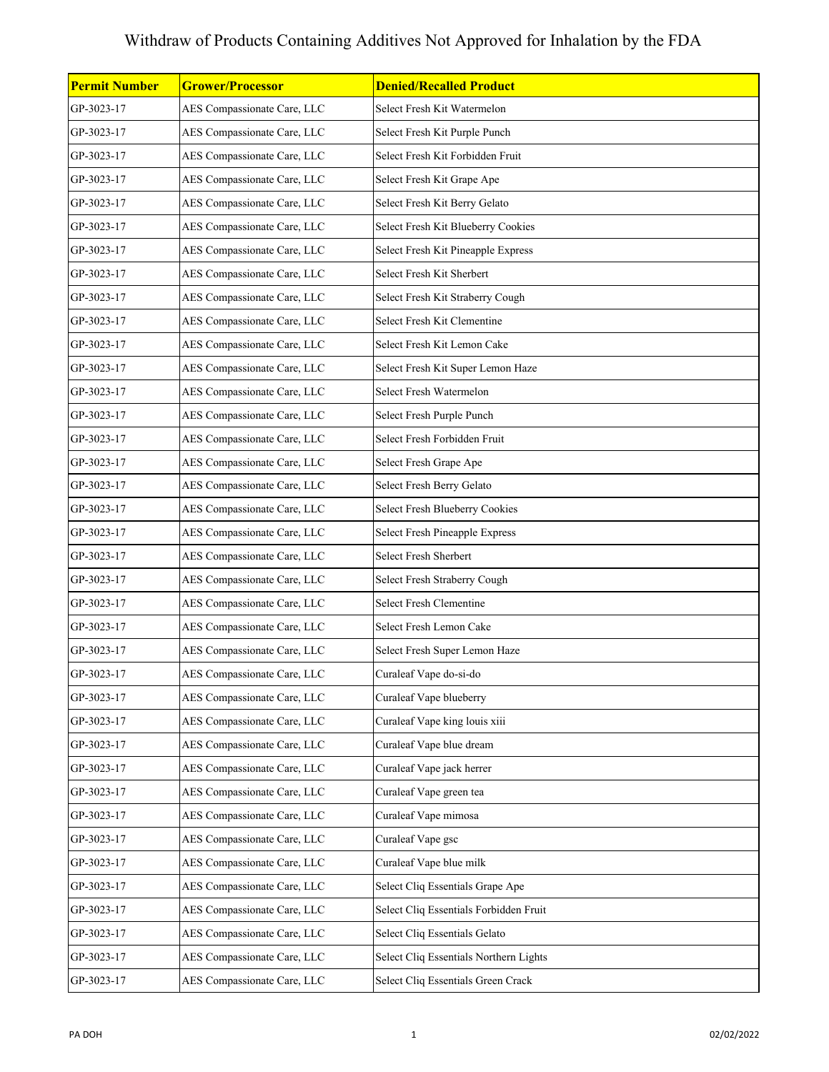| <b>Permit Number</b> | <b>Grower/Processor</b>     | <b>Denied/Recalled Product</b>         |
|----------------------|-----------------------------|----------------------------------------|
| GP-3023-17           | AES Compassionate Care, LLC | Select Fresh Kit Watermelon            |
| GP-3023-17           | AES Compassionate Care, LLC | Select Fresh Kit Purple Punch          |
| GP-3023-17           | AES Compassionate Care, LLC | Select Fresh Kit Forbidden Fruit       |
| GP-3023-17           | AES Compassionate Care, LLC | Select Fresh Kit Grape Ape             |
| GP-3023-17           | AES Compassionate Care, LLC | Select Fresh Kit Berry Gelato          |
| GP-3023-17           | AES Compassionate Care, LLC | Select Fresh Kit Blueberry Cookies     |
| GP-3023-17           | AES Compassionate Care, LLC | Select Fresh Kit Pineapple Express     |
| GP-3023-17           | AES Compassionate Care, LLC | Select Fresh Kit Sherbert              |
| GP-3023-17           | AES Compassionate Care, LLC | Select Fresh Kit Straberry Cough       |
| GP-3023-17           | AES Compassionate Care, LLC | Select Fresh Kit Clementine            |
| GP-3023-17           | AES Compassionate Care, LLC | Select Fresh Kit Lemon Cake            |
| GP-3023-17           | AES Compassionate Care, LLC | Select Fresh Kit Super Lemon Haze      |
| GP-3023-17           | AES Compassionate Care, LLC | Select Fresh Watermelon                |
| GP-3023-17           | AES Compassionate Care, LLC | Select Fresh Purple Punch              |
| GP-3023-17           | AES Compassionate Care, LLC | Select Fresh Forbidden Fruit           |
| GP-3023-17           | AES Compassionate Care, LLC | Select Fresh Grape Ape                 |
| GP-3023-17           | AES Compassionate Care, LLC | Select Fresh Berry Gelato              |
| GP-3023-17           | AES Compassionate Care, LLC | Select Fresh Blueberry Cookies         |
| GP-3023-17           | AES Compassionate Care, LLC | <b>Select Fresh Pineapple Express</b>  |
| GP-3023-17           | AES Compassionate Care, LLC | Select Fresh Sherbert                  |
| GP-3023-17           | AES Compassionate Care, LLC | Select Fresh Straberry Cough           |
| GP-3023-17           | AES Compassionate Care, LLC | Select Fresh Clementine                |
| GP-3023-17           | AES Compassionate Care, LLC | Select Fresh Lemon Cake                |
| GP-3023-17           | AES Compassionate Care, LLC | Select Fresh Super Lemon Haze          |
| GP-3023-17           | AES Compassionate Care, LLC | Curaleaf Vape do-si-do                 |
| GP-3023-17           | AES Compassionate Care, LLC | Curaleaf Vape blueberry                |
| GP-3023-17           | AES Compassionate Care, LLC | Curaleaf Vape king louis xiii          |
| GP-3023-17           | AES Compassionate Care, LLC | Curaleaf Vape blue dream               |
| GP-3023-17           | AES Compassionate Care, LLC | Curaleaf Vape jack herrer              |
| GP-3023-17           | AES Compassionate Care, LLC | Curaleaf Vape green tea                |
| GP-3023-17           | AES Compassionate Care, LLC | Curaleaf Vape mimosa                   |
| GP-3023-17           | AES Compassionate Care, LLC | Curaleaf Vape gsc                      |
| GP-3023-17           | AES Compassionate Care, LLC | Curaleaf Vape blue milk                |
| GP-3023-17           | AES Compassionate Care, LLC | Select Cliq Essentials Grape Ape       |
| GP-3023-17           | AES Compassionate Care, LLC | Select Cliq Essentials Forbidden Fruit |
| GP-3023-17           | AES Compassionate Care, LLC | Select Cliq Essentials Gelato          |
| GP-3023-17           | AES Compassionate Care, LLC | Select Cliq Essentials Northern Lights |
| GP-3023-17           | AES Compassionate Care, LLC | Select Cliq Essentials Green Crack     |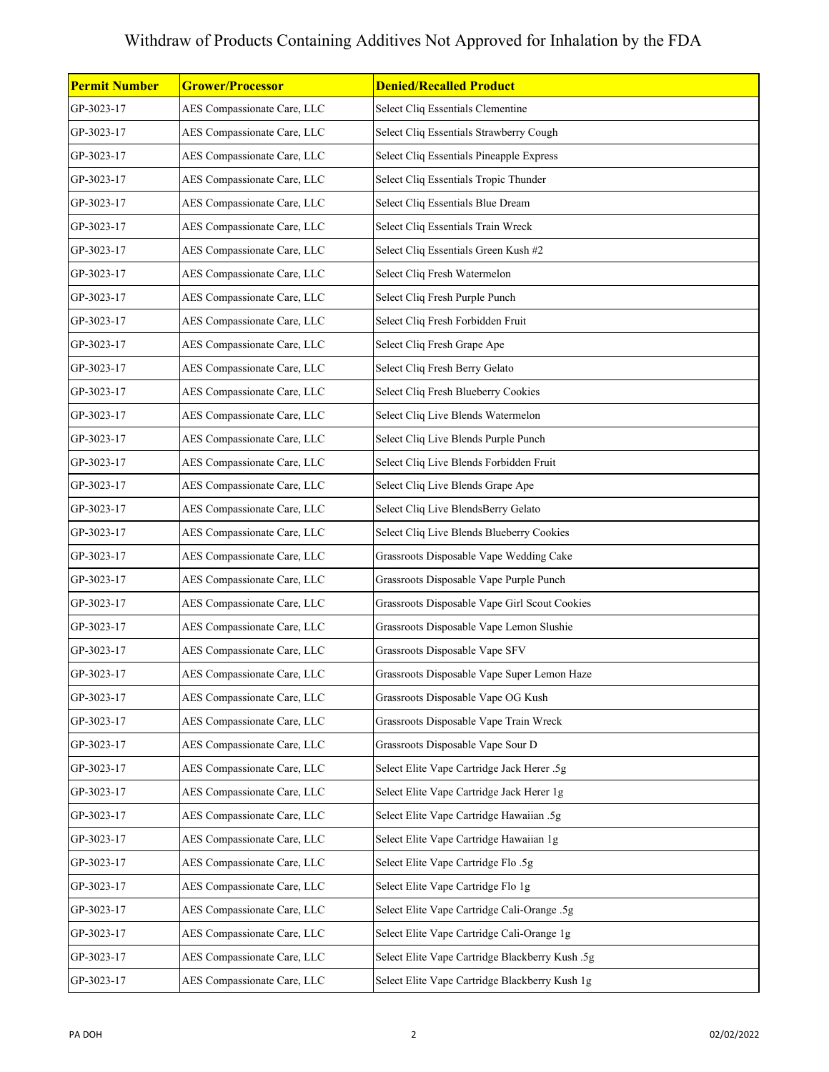| Permit Number | <b>Grower/Processor</b>     | <b>Denied/Recalled Product</b>                  |
|---------------|-----------------------------|-------------------------------------------------|
| GP-3023-17    | AES Compassionate Care, LLC | Select Cliq Essentials Clementine               |
| GP-3023-17    | AES Compassionate Care, LLC | Select Cliq Essentials Strawberry Cough         |
| GP-3023-17    | AES Compassionate Care, LLC | Select Cliq Essentials Pineapple Express        |
| GP-3023-17    | AES Compassionate Care, LLC | Select Cliq Essentials Tropic Thunder           |
| GP-3023-17    | AES Compassionate Care, LLC | Select Cliq Essentials Blue Dream               |
| GP-3023-17    | AES Compassionate Care, LLC | Select Cliq Essentials Train Wreck              |
| GP-3023-17    | AES Compassionate Care, LLC | Select Cliq Essentials Green Kush #2            |
| GP-3023-17    | AES Compassionate Care, LLC | Select Cliq Fresh Watermelon                    |
| GP-3023-17    | AES Compassionate Care, LLC | Select Cliq Fresh Purple Punch                  |
| GP-3023-17    | AES Compassionate Care, LLC | Select Cliq Fresh Forbidden Fruit               |
| GP-3023-17    | AES Compassionate Care, LLC | Select Cliq Fresh Grape Ape                     |
| GP-3023-17    | AES Compassionate Care, LLC | Select Cliq Fresh Berry Gelato                  |
| GP-3023-17    | AES Compassionate Care, LLC | Select Cliq Fresh Blueberry Cookies             |
| GP-3023-17    | AES Compassionate Care, LLC | Select Cliq Live Blends Watermelon              |
| GP-3023-17    | AES Compassionate Care, LLC | Select Cliq Live Blends Purple Punch            |
| GP-3023-17    | AES Compassionate Care, LLC | Select Cliq Live Blends Forbidden Fruit         |
| GP-3023-17    | AES Compassionate Care, LLC | Select Cliq Live Blends Grape Ape               |
| GP-3023-17    | AES Compassionate Care, LLC | Select Cliq Live BlendsBerry Gelato             |
| GP-3023-17    | AES Compassionate Care, LLC | Select Cliq Live Blends Blueberry Cookies       |
| GP-3023-17    | AES Compassionate Care, LLC | Grassroots Disposable Vape Wedding Cake         |
| GP-3023-17    | AES Compassionate Care, LLC | Grassroots Disposable Vape Purple Punch         |
| GP-3023-17    | AES Compassionate Care, LLC | Grassroots Disposable Vape Girl Scout Cookies   |
| GP-3023-17    | AES Compassionate Care, LLC | Grassroots Disposable Vape Lemon Slushie        |
| GP-3023-17    | AES Compassionate Care, LLC | Grassroots Disposable Vape SFV                  |
| GP-3023-17    | AES Compassionate Care, LLC | Grassroots Disposable Vape Super Lemon Haze     |
| GP-3023-17    | AES Compassionate Care, LLC | Grassroots Disposable Vape OG Kush              |
| GP-3023-17    | AES Compassionate Care, LLC | Grassroots Disposable Vape Train Wreck          |
| GP-3023-17    | AES Compassionate Care, LLC | Grassroots Disposable Vape Sour D               |
| GP-3023-17    | AES Compassionate Care, LLC | Select Elite Vape Cartridge Jack Herer .5g      |
| GP-3023-17    | AES Compassionate Care, LLC | Select Elite Vape Cartridge Jack Herer 1g       |
| GP-3023-17    | AES Compassionate Care, LLC | Select Elite Vape Cartridge Hawaiian .5g        |
| GP-3023-17    | AES Compassionate Care, LLC | Select Elite Vape Cartridge Hawaiian 1g         |
| GP-3023-17    | AES Compassionate Care, LLC | Select Elite Vape Cartridge Flo.5g              |
| GP-3023-17    | AES Compassionate Care, LLC | Select Elite Vape Cartridge Flo 1g              |
| GP-3023-17    | AES Compassionate Care, LLC | Select Elite Vape Cartridge Cali-Orange .5g     |
| GP-3023-17    | AES Compassionate Care, LLC | Select Elite Vape Cartridge Cali-Orange 1g      |
| GP-3023-17    | AES Compassionate Care, LLC | Select Elite Vape Cartridge Blackberry Kush .5g |
| GP-3023-17    | AES Compassionate Care, LLC | Select Elite Vape Cartridge Blackberry Kush 1g  |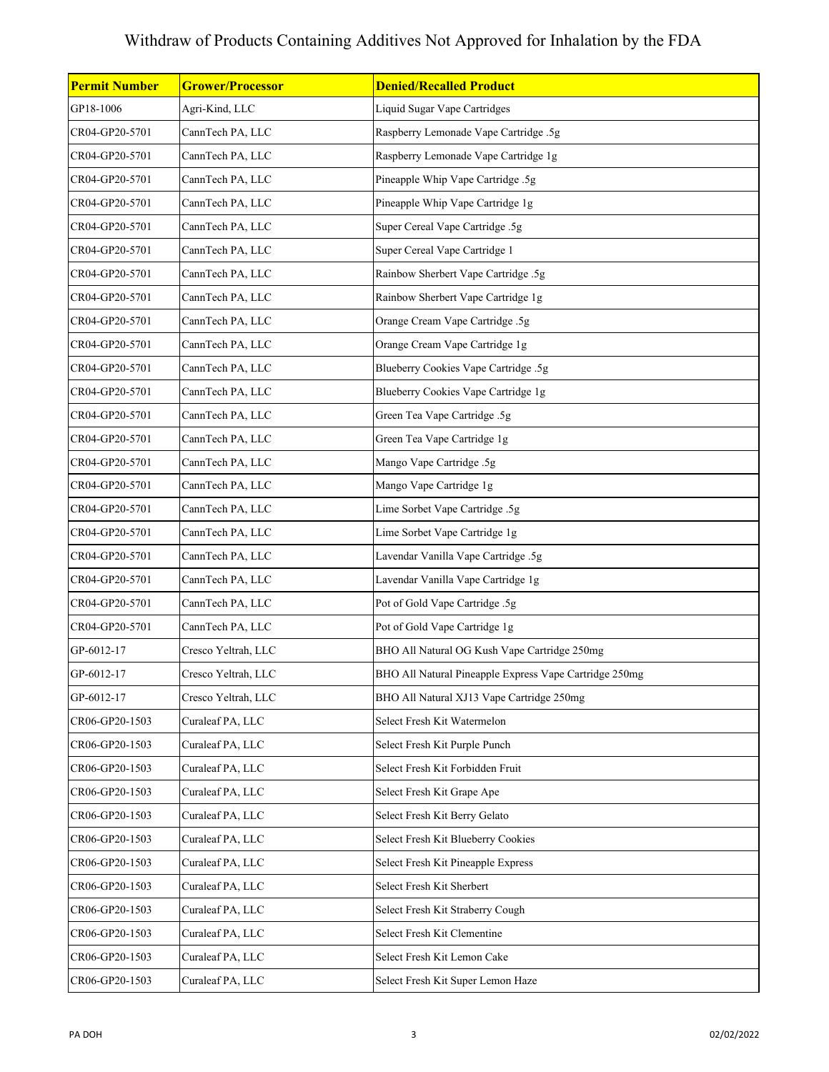| GP18-1006<br>Agri-Kind, LLC<br>Liquid Sugar Vape Cartridges<br>CannTech PA, LLC<br>Raspberry Lemonade Vape Cartridge .5g<br>CR04-GP20-5701<br>Raspberry Lemonade Vape Cartridge 1g<br>CR04-GP20-5701<br>CannTech PA, LLC<br>Pineapple Whip Vape Cartridge .5g<br>CR04-GP20-5701<br>CannTech PA, LLC<br>CR04-GP20-5701<br>Pineapple Whip Vape Cartridge 1g<br>CannTech PA, LLC<br>Super Cereal Vape Cartridge .5g<br>CR04-GP20-5701<br>CannTech PA, LLC<br>CannTech PA, LLC<br>Super Cereal Vape Cartridge 1<br>CR04-GP20-5701<br>CannTech PA, LLC<br>Rainbow Sherbert Vape Cartridge .5g<br>CR04-GP20-5701<br>Rainbow Sherbert Vape Cartridge 1g<br>CR04-GP20-5701<br>CannTech PA, LLC<br>Orange Cream Vape Cartridge .5g<br>CR04-GP20-5701<br>CannTech PA, LLC<br>CannTech PA, LLC<br>Orange Cream Vape Cartridge 1g<br>CR04-GP20-5701<br>Blueberry Cookies Vape Cartridge .5g<br>CR04-GP20-5701<br>CannTech PA, LLC<br>CannTech PA, LLC<br>Blueberry Cookies Vape Cartridge 1g<br>CR04-GP20-5701<br>CR04-GP20-5701<br>Green Tea Vape Cartridge .5g<br>CannTech PA, LLC<br>Green Tea Vape Cartridge 1g<br>CR04-GP20-5701<br>CannTech PA, LLC<br>Mango Vape Cartridge .5g<br>CR04-GP20-5701<br>CannTech PA, LLC<br>Mango Vape Cartridge 1g<br>CR04-GP20-5701<br>CannTech PA, LLC<br>CannTech PA, LLC<br>Lime Sorbet Vape Cartridge .5g<br>CR04-GP20-5701<br>CannTech PA, LLC<br>Lime Sorbet Vape Cartridge 1g<br>CR04-GP20-5701<br>Lavendar Vanilla Vape Cartridge .5g<br>CR04-GP20-5701<br>CannTech PA, LLC<br>CannTech PA, LLC<br>Lavendar Vanilla Vape Cartridge 1g<br>CR04-GP20-5701<br>CannTech PA, LLC<br>Pot of Gold Vape Cartridge .5g<br>CR04-GP20-5701<br>Pot of Gold Vape Cartridge 1g<br>CR04-GP20-5701<br>CannTech PA, LLC<br>BHO All Natural OG Kush Vape Cartridge 250mg<br>GP-6012-17<br>Cresco Yeltrah, LLC<br>GP-6012-17<br>Cresco Yeltrah, LLC<br>BHO All Natural Pineapple Express Vape Cartridge 250mg<br>BHO All Natural XJ13 Vape Cartridge 250mg<br>GP-6012-17<br>Cresco Yeltrah, LLC<br>Select Fresh Kit Watermelon<br>CR06-GP20-1503<br>Curaleaf PA, LLC<br>Curaleaf PA, LLC<br>CR06-GP20-1503<br>Select Fresh Kit Purple Punch<br>Curaleaf PA, LLC<br>Select Fresh Kit Forbidden Fruit<br>CR06-GP20-1503<br>Curaleaf PA, LLC<br>CR06-GP20-1503<br>Select Fresh Kit Grape Ape |                      |                         |                                |
|---------------------------------------------------------------------------------------------------------------------------------------------------------------------------------------------------------------------------------------------------------------------------------------------------------------------------------------------------------------------------------------------------------------------------------------------------------------------------------------------------------------------------------------------------------------------------------------------------------------------------------------------------------------------------------------------------------------------------------------------------------------------------------------------------------------------------------------------------------------------------------------------------------------------------------------------------------------------------------------------------------------------------------------------------------------------------------------------------------------------------------------------------------------------------------------------------------------------------------------------------------------------------------------------------------------------------------------------------------------------------------------------------------------------------------------------------------------------------------------------------------------------------------------------------------------------------------------------------------------------------------------------------------------------------------------------------------------------------------------------------------------------------------------------------------------------------------------------------------------------------------------------------------------------------------------------------------------------------------------------------------------------------------------------------------------------------------------------------------------------------------------------------------------------------------------------------------------------------------------------------------------------------------------------------------|----------------------|-------------------------|--------------------------------|
|                                                                                                                                                                                                                                                                                                                                                                                                                                                                                                                                                                                                                                                                                                                                                                                                                                                                                                                                                                                                                                                                                                                                                                                                                                                                                                                                                                                                                                                                                                                                                                                                                                                                                                                                                                                                                                                                                                                                                                                                                                                                                                                                                                                                                                                                                                         | <b>Permit Number</b> | <b>Grower/Processor</b> | <b>Denied/Recalled Product</b> |
|                                                                                                                                                                                                                                                                                                                                                                                                                                                                                                                                                                                                                                                                                                                                                                                                                                                                                                                                                                                                                                                                                                                                                                                                                                                                                                                                                                                                                                                                                                                                                                                                                                                                                                                                                                                                                                                                                                                                                                                                                                                                                                                                                                                                                                                                                                         |                      |                         |                                |
|                                                                                                                                                                                                                                                                                                                                                                                                                                                                                                                                                                                                                                                                                                                                                                                                                                                                                                                                                                                                                                                                                                                                                                                                                                                                                                                                                                                                                                                                                                                                                                                                                                                                                                                                                                                                                                                                                                                                                                                                                                                                                                                                                                                                                                                                                                         |                      |                         |                                |
|                                                                                                                                                                                                                                                                                                                                                                                                                                                                                                                                                                                                                                                                                                                                                                                                                                                                                                                                                                                                                                                                                                                                                                                                                                                                                                                                                                                                                                                                                                                                                                                                                                                                                                                                                                                                                                                                                                                                                                                                                                                                                                                                                                                                                                                                                                         |                      |                         |                                |
|                                                                                                                                                                                                                                                                                                                                                                                                                                                                                                                                                                                                                                                                                                                                                                                                                                                                                                                                                                                                                                                                                                                                                                                                                                                                                                                                                                                                                                                                                                                                                                                                                                                                                                                                                                                                                                                                                                                                                                                                                                                                                                                                                                                                                                                                                                         |                      |                         |                                |
|                                                                                                                                                                                                                                                                                                                                                                                                                                                                                                                                                                                                                                                                                                                                                                                                                                                                                                                                                                                                                                                                                                                                                                                                                                                                                                                                                                                                                                                                                                                                                                                                                                                                                                                                                                                                                                                                                                                                                                                                                                                                                                                                                                                                                                                                                                         |                      |                         |                                |
|                                                                                                                                                                                                                                                                                                                                                                                                                                                                                                                                                                                                                                                                                                                                                                                                                                                                                                                                                                                                                                                                                                                                                                                                                                                                                                                                                                                                                                                                                                                                                                                                                                                                                                                                                                                                                                                                                                                                                                                                                                                                                                                                                                                                                                                                                                         |                      |                         |                                |
|                                                                                                                                                                                                                                                                                                                                                                                                                                                                                                                                                                                                                                                                                                                                                                                                                                                                                                                                                                                                                                                                                                                                                                                                                                                                                                                                                                                                                                                                                                                                                                                                                                                                                                                                                                                                                                                                                                                                                                                                                                                                                                                                                                                                                                                                                                         |                      |                         |                                |
|                                                                                                                                                                                                                                                                                                                                                                                                                                                                                                                                                                                                                                                                                                                                                                                                                                                                                                                                                                                                                                                                                                                                                                                                                                                                                                                                                                                                                                                                                                                                                                                                                                                                                                                                                                                                                                                                                                                                                                                                                                                                                                                                                                                                                                                                                                         |                      |                         |                                |
|                                                                                                                                                                                                                                                                                                                                                                                                                                                                                                                                                                                                                                                                                                                                                                                                                                                                                                                                                                                                                                                                                                                                                                                                                                                                                                                                                                                                                                                                                                                                                                                                                                                                                                                                                                                                                                                                                                                                                                                                                                                                                                                                                                                                                                                                                                         |                      |                         |                                |
|                                                                                                                                                                                                                                                                                                                                                                                                                                                                                                                                                                                                                                                                                                                                                                                                                                                                                                                                                                                                                                                                                                                                                                                                                                                                                                                                                                                                                                                                                                                                                                                                                                                                                                                                                                                                                                                                                                                                                                                                                                                                                                                                                                                                                                                                                                         |                      |                         |                                |
|                                                                                                                                                                                                                                                                                                                                                                                                                                                                                                                                                                                                                                                                                                                                                                                                                                                                                                                                                                                                                                                                                                                                                                                                                                                                                                                                                                                                                                                                                                                                                                                                                                                                                                                                                                                                                                                                                                                                                                                                                                                                                                                                                                                                                                                                                                         |                      |                         |                                |
|                                                                                                                                                                                                                                                                                                                                                                                                                                                                                                                                                                                                                                                                                                                                                                                                                                                                                                                                                                                                                                                                                                                                                                                                                                                                                                                                                                                                                                                                                                                                                                                                                                                                                                                                                                                                                                                                                                                                                                                                                                                                                                                                                                                                                                                                                                         |                      |                         |                                |
|                                                                                                                                                                                                                                                                                                                                                                                                                                                                                                                                                                                                                                                                                                                                                                                                                                                                                                                                                                                                                                                                                                                                                                                                                                                                                                                                                                                                                                                                                                                                                                                                                                                                                                                                                                                                                                                                                                                                                                                                                                                                                                                                                                                                                                                                                                         |                      |                         |                                |
|                                                                                                                                                                                                                                                                                                                                                                                                                                                                                                                                                                                                                                                                                                                                                                                                                                                                                                                                                                                                                                                                                                                                                                                                                                                                                                                                                                                                                                                                                                                                                                                                                                                                                                                                                                                                                                                                                                                                                                                                                                                                                                                                                                                                                                                                                                         |                      |                         |                                |
|                                                                                                                                                                                                                                                                                                                                                                                                                                                                                                                                                                                                                                                                                                                                                                                                                                                                                                                                                                                                                                                                                                                                                                                                                                                                                                                                                                                                                                                                                                                                                                                                                                                                                                                                                                                                                                                                                                                                                                                                                                                                                                                                                                                                                                                                                                         |                      |                         |                                |
|                                                                                                                                                                                                                                                                                                                                                                                                                                                                                                                                                                                                                                                                                                                                                                                                                                                                                                                                                                                                                                                                                                                                                                                                                                                                                                                                                                                                                                                                                                                                                                                                                                                                                                                                                                                                                                                                                                                                                                                                                                                                                                                                                                                                                                                                                                         |                      |                         |                                |
|                                                                                                                                                                                                                                                                                                                                                                                                                                                                                                                                                                                                                                                                                                                                                                                                                                                                                                                                                                                                                                                                                                                                                                                                                                                                                                                                                                                                                                                                                                                                                                                                                                                                                                                                                                                                                                                                                                                                                                                                                                                                                                                                                                                                                                                                                                         |                      |                         |                                |
|                                                                                                                                                                                                                                                                                                                                                                                                                                                                                                                                                                                                                                                                                                                                                                                                                                                                                                                                                                                                                                                                                                                                                                                                                                                                                                                                                                                                                                                                                                                                                                                                                                                                                                                                                                                                                                                                                                                                                                                                                                                                                                                                                                                                                                                                                                         |                      |                         |                                |
|                                                                                                                                                                                                                                                                                                                                                                                                                                                                                                                                                                                                                                                                                                                                                                                                                                                                                                                                                                                                                                                                                                                                                                                                                                                                                                                                                                                                                                                                                                                                                                                                                                                                                                                                                                                                                                                                                                                                                                                                                                                                                                                                                                                                                                                                                                         |                      |                         |                                |
|                                                                                                                                                                                                                                                                                                                                                                                                                                                                                                                                                                                                                                                                                                                                                                                                                                                                                                                                                                                                                                                                                                                                                                                                                                                                                                                                                                                                                                                                                                                                                                                                                                                                                                                                                                                                                                                                                                                                                                                                                                                                                                                                                                                                                                                                                                         |                      |                         |                                |
|                                                                                                                                                                                                                                                                                                                                                                                                                                                                                                                                                                                                                                                                                                                                                                                                                                                                                                                                                                                                                                                                                                                                                                                                                                                                                                                                                                                                                                                                                                                                                                                                                                                                                                                                                                                                                                                                                                                                                                                                                                                                                                                                                                                                                                                                                                         |                      |                         |                                |
|                                                                                                                                                                                                                                                                                                                                                                                                                                                                                                                                                                                                                                                                                                                                                                                                                                                                                                                                                                                                                                                                                                                                                                                                                                                                                                                                                                                                                                                                                                                                                                                                                                                                                                                                                                                                                                                                                                                                                                                                                                                                                                                                                                                                                                                                                                         |                      |                         |                                |
|                                                                                                                                                                                                                                                                                                                                                                                                                                                                                                                                                                                                                                                                                                                                                                                                                                                                                                                                                                                                                                                                                                                                                                                                                                                                                                                                                                                                                                                                                                                                                                                                                                                                                                                                                                                                                                                                                                                                                                                                                                                                                                                                                                                                                                                                                                         |                      |                         |                                |
|                                                                                                                                                                                                                                                                                                                                                                                                                                                                                                                                                                                                                                                                                                                                                                                                                                                                                                                                                                                                                                                                                                                                                                                                                                                                                                                                                                                                                                                                                                                                                                                                                                                                                                                                                                                                                                                                                                                                                                                                                                                                                                                                                                                                                                                                                                         |                      |                         |                                |
|                                                                                                                                                                                                                                                                                                                                                                                                                                                                                                                                                                                                                                                                                                                                                                                                                                                                                                                                                                                                                                                                                                                                                                                                                                                                                                                                                                                                                                                                                                                                                                                                                                                                                                                                                                                                                                                                                                                                                                                                                                                                                                                                                                                                                                                                                                         |                      |                         |                                |
|                                                                                                                                                                                                                                                                                                                                                                                                                                                                                                                                                                                                                                                                                                                                                                                                                                                                                                                                                                                                                                                                                                                                                                                                                                                                                                                                                                                                                                                                                                                                                                                                                                                                                                                                                                                                                                                                                                                                                                                                                                                                                                                                                                                                                                                                                                         |                      |                         |                                |
|                                                                                                                                                                                                                                                                                                                                                                                                                                                                                                                                                                                                                                                                                                                                                                                                                                                                                                                                                                                                                                                                                                                                                                                                                                                                                                                                                                                                                                                                                                                                                                                                                                                                                                                                                                                                                                                                                                                                                                                                                                                                                                                                                                                                                                                                                                         |                      |                         |                                |
|                                                                                                                                                                                                                                                                                                                                                                                                                                                                                                                                                                                                                                                                                                                                                                                                                                                                                                                                                                                                                                                                                                                                                                                                                                                                                                                                                                                                                                                                                                                                                                                                                                                                                                                                                                                                                                                                                                                                                                                                                                                                                                                                                                                                                                                                                                         |                      |                         |                                |
|                                                                                                                                                                                                                                                                                                                                                                                                                                                                                                                                                                                                                                                                                                                                                                                                                                                                                                                                                                                                                                                                                                                                                                                                                                                                                                                                                                                                                                                                                                                                                                                                                                                                                                                                                                                                                                                                                                                                                                                                                                                                                                                                                                                                                                                                                                         |                      |                         |                                |
|                                                                                                                                                                                                                                                                                                                                                                                                                                                                                                                                                                                                                                                                                                                                                                                                                                                                                                                                                                                                                                                                                                                                                                                                                                                                                                                                                                                                                                                                                                                                                                                                                                                                                                                                                                                                                                                                                                                                                                                                                                                                                                                                                                                                                                                                                                         |                      |                         |                                |
|                                                                                                                                                                                                                                                                                                                                                                                                                                                                                                                                                                                                                                                                                                                                                                                                                                                                                                                                                                                                                                                                                                                                                                                                                                                                                                                                                                                                                                                                                                                                                                                                                                                                                                                                                                                                                                                                                                                                                                                                                                                                                                                                                                                                                                                                                                         | CR06-GP20-1503       | Curaleaf PA, LLC        | Select Fresh Kit Berry Gelato  |
| Select Fresh Kit Blueberry Cookies<br>CR06-GP20-1503<br>Curaleaf PA, LLC                                                                                                                                                                                                                                                                                                                                                                                                                                                                                                                                                                                                                                                                                                                                                                                                                                                                                                                                                                                                                                                                                                                                                                                                                                                                                                                                                                                                                                                                                                                                                                                                                                                                                                                                                                                                                                                                                                                                                                                                                                                                                                                                                                                                                                |                      |                         |                                |
| CR06-GP20-1503<br>Curaleaf PA, LLC<br>Select Fresh Kit Pineapple Express                                                                                                                                                                                                                                                                                                                                                                                                                                                                                                                                                                                                                                                                                                                                                                                                                                                                                                                                                                                                                                                                                                                                                                                                                                                                                                                                                                                                                                                                                                                                                                                                                                                                                                                                                                                                                                                                                                                                                                                                                                                                                                                                                                                                                                |                      |                         |                                |
| Select Fresh Kit Sherbert<br>CR06-GP20-1503<br>Curaleaf PA, LLC                                                                                                                                                                                                                                                                                                                                                                                                                                                                                                                                                                                                                                                                                                                                                                                                                                                                                                                                                                                                                                                                                                                                                                                                                                                                                                                                                                                                                                                                                                                                                                                                                                                                                                                                                                                                                                                                                                                                                                                                                                                                                                                                                                                                                                         |                      |                         |                                |
| Curaleaf PA, LLC<br>CR06-GP20-1503<br>Select Fresh Kit Straberry Cough                                                                                                                                                                                                                                                                                                                                                                                                                                                                                                                                                                                                                                                                                                                                                                                                                                                                                                                                                                                                                                                                                                                                                                                                                                                                                                                                                                                                                                                                                                                                                                                                                                                                                                                                                                                                                                                                                                                                                                                                                                                                                                                                                                                                                                  |                      |                         |                                |
| Curaleaf PA, LLC<br>Select Fresh Kit Clementine<br>CR06-GP20-1503                                                                                                                                                                                                                                                                                                                                                                                                                                                                                                                                                                                                                                                                                                                                                                                                                                                                                                                                                                                                                                                                                                                                                                                                                                                                                                                                                                                                                                                                                                                                                                                                                                                                                                                                                                                                                                                                                                                                                                                                                                                                                                                                                                                                                                       |                      |                         |                                |
| Curaleaf PA, LLC<br>Select Fresh Kit Lemon Cake<br>CR06-GP20-1503                                                                                                                                                                                                                                                                                                                                                                                                                                                                                                                                                                                                                                                                                                                                                                                                                                                                                                                                                                                                                                                                                                                                                                                                                                                                                                                                                                                                                                                                                                                                                                                                                                                                                                                                                                                                                                                                                                                                                                                                                                                                                                                                                                                                                                       |                      |                         |                                |
| CR06-GP20-1503<br>Curaleaf PA, LLC<br>Select Fresh Kit Super Lemon Haze                                                                                                                                                                                                                                                                                                                                                                                                                                                                                                                                                                                                                                                                                                                                                                                                                                                                                                                                                                                                                                                                                                                                                                                                                                                                                                                                                                                                                                                                                                                                                                                                                                                                                                                                                                                                                                                                                                                                                                                                                                                                                                                                                                                                                                 |                      |                         |                                |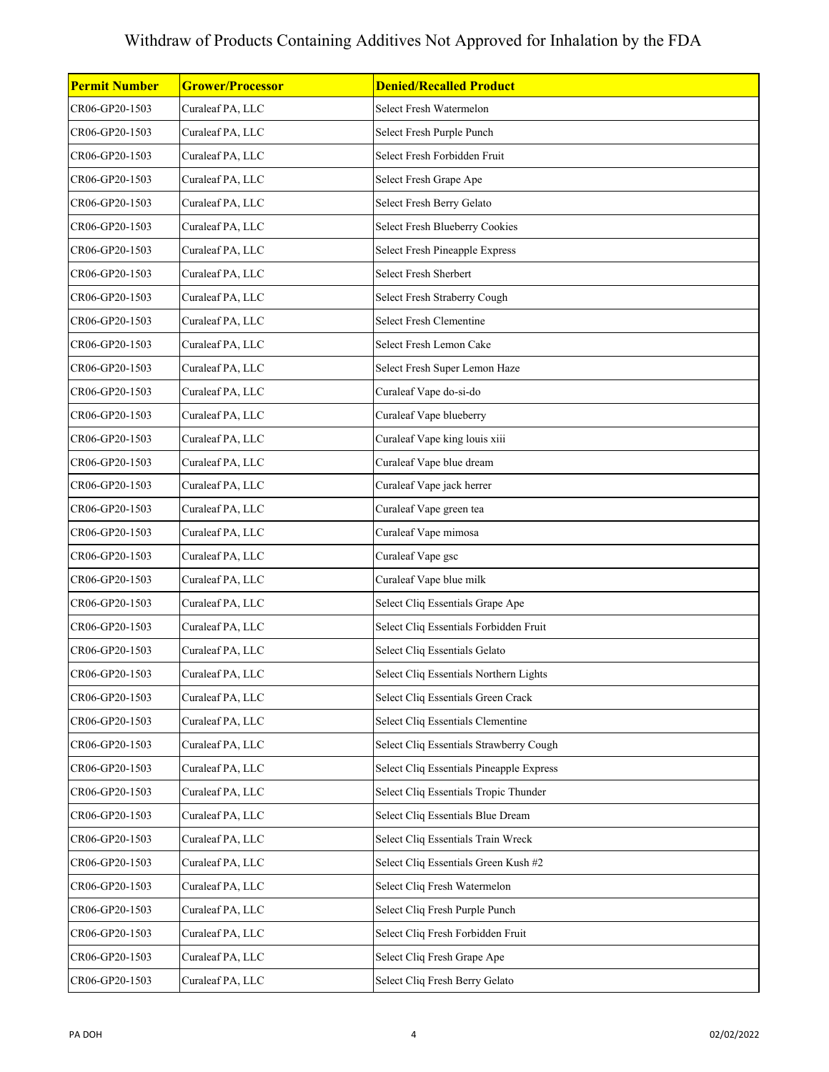| <b>Permit Number</b> | <b>Grower/Processor</b> | <b>Denied/Recalled Product</b>           |
|----------------------|-------------------------|------------------------------------------|
| CR06-GP20-1503       | Curaleaf PA, LLC        | Select Fresh Watermelon                  |
| CR06-GP20-1503       | Curaleaf PA, LLC        | Select Fresh Purple Punch                |
| CR06-GP20-1503       | Curaleaf PA, LLC        | Select Fresh Forbidden Fruit             |
| CR06-GP20-1503       | Curaleaf PA, LLC        | Select Fresh Grape Ape                   |
| CR06-GP20-1503       | Curaleaf PA, LLC        | Select Fresh Berry Gelato                |
| CR06-GP20-1503       | Curaleaf PA, LLC        | Select Fresh Blueberry Cookies           |
| CR06-GP20-1503       | Curaleaf PA, LLC        | Select Fresh Pineapple Express           |
| CR06-GP20-1503       | Curaleaf PA, LLC        | Select Fresh Sherbert                    |
| CR06-GP20-1503       | Curaleaf PA, LLC        | Select Fresh Straberry Cough             |
| CR06-GP20-1503       | Curaleaf PA, LLC        | Select Fresh Clementine                  |
| CR06-GP20-1503       | Curaleaf PA, LLC        | Select Fresh Lemon Cake                  |
| CR06-GP20-1503       | Curaleaf PA, LLC        | Select Fresh Super Lemon Haze            |
| CR06-GP20-1503       | Curaleaf PA, LLC        | Curaleaf Vape do-si-do                   |
| CR06-GP20-1503       | Curaleaf PA, LLC        | Curaleaf Vape blueberry                  |
| CR06-GP20-1503       | Curaleaf PA, LLC        | Curaleaf Vape king louis xiii            |
| CR06-GP20-1503       | Curaleaf PA, LLC        | Curaleaf Vape blue dream                 |
| CR06-GP20-1503       | Curaleaf PA, LLC        | Curaleaf Vape jack herrer                |
| CR06-GP20-1503       | Curaleaf PA, LLC        | Curaleaf Vape green tea                  |
| CR06-GP20-1503       | Curaleaf PA, LLC        | Curaleaf Vape mimosa                     |
| CR06-GP20-1503       | Curaleaf PA, LLC        | Curaleaf Vape gsc                        |
| CR06-GP20-1503       | Curaleaf PA, LLC        | Curaleaf Vape blue milk                  |
| CR06-GP20-1503       | Curaleaf PA, LLC        | Select Cliq Essentials Grape Ape         |
| CR06-GP20-1503       | Curaleaf PA, LLC        | Select Cliq Essentials Forbidden Fruit   |
| CR06-GP20-1503       | Curaleaf PA, LLC        | Select Cliq Essentials Gelato            |
| CR06-GP20-1503       | Curaleaf PA, LLC        | Select Cliq Essentials Northern Lights   |
| CR06-GP20-1503       | Curaleaf PA, LLC        | Select Cliq Essentials Green Crack       |
| CR06-GP20-1503       | Curaleaf PA, LLC        | Select Cliq Essentials Clementine        |
| CR06-GP20-1503       | Curaleaf PA, LLC        | Select Cliq Essentials Strawberry Cough  |
| CR06-GP20-1503       | Curaleaf PA, LLC        | Select Cliq Essentials Pineapple Express |
| CR06-GP20-1503       | Curaleaf PA, LLC        | Select Cliq Essentials Tropic Thunder    |
| CR06-GP20-1503       | Curaleaf PA, LLC        | Select Cliq Essentials Blue Dream        |
| CR06-GP20-1503       | Curaleaf PA, LLC        | Select Cliq Essentials Train Wreck       |
| CR06-GP20-1503       | Curaleaf PA, LLC        | Select Cliq Essentials Green Kush #2     |
| CR06-GP20-1503       | Curaleaf PA, LLC        | Select Cliq Fresh Watermelon             |
| CR06-GP20-1503       | Curaleaf PA, LLC        | Select Cliq Fresh Purple Punch           |
| CR06-GP20-1503       | Curaleaf PA, LLC        | Select Cliq Fresh Forbidden Fruit        |
| CR06-GP20-1503       | Curaleaf PA, LLC        | Select Cliq Fresh Grape Ape              |
| CR06-GP20-1503       | Curaleaf PA, LLC        | Select Cliq Fresh Berry Gelato           |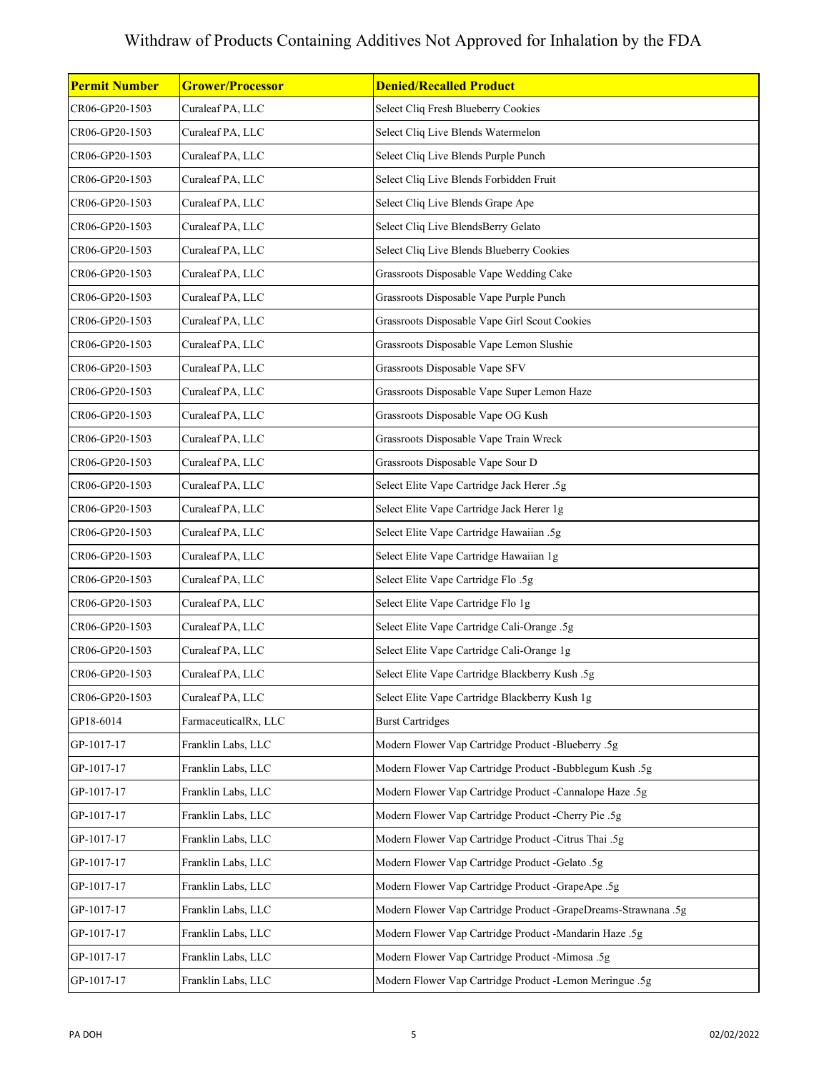| <b>Permit Number</b> | <b>Grower/Processor</b> | <b>Denied/Recalled Product</b>                                 |
|----------------------|-------------------------|----------------------------------------------------------------|
| CR06-GP20-1503       | Curaleaf PA, LLC        | Select Cliq Fresh Blueberry Cookies                            |
| CR06-GP20-1503       | Curaleaf PA, LLC        | Select Cliq Live Blends Watermelon                             |
| CR06-GP20-1503       | Curaleaf PA, LLC        | Select Cliq Live Blends Purple Punch                           |
| CR06-GP20-1503       | Curaleaf PA, LLC        | Select Cliq Live Blends Forbidden Fruit                        |
| CR06-GP20-1503       | Curaleaf PA, LLC        | Select Cliq Live Blends Grape Ape                              |
| CR06-GP20-1503       | Curaleaf PA, LLC        | Select Cliq Live BlendsBerry Gelato                            |
| CR06-GP20-1503       | Curaleaf PA, LLC        | Select Cliq Live Blends Blueberry Cookies                      |
| CR06-GP20-1503       | Curaleaf PA, LLC        | Grassroots Disposable Vape Wedding Cake                        |
| CR06-GP20-1503       | Curaleaf PA, LLC        | Grassroots Disposable Vape Purple Punch                        |
| CR06-GP20-1503       | Curaleaf PA, LLC        | Grassroots Disposable Vape Girl Scout Cookies                  |
| CR06-GP20-1503       | Curaleaf PA, LLC        | Grassroots Disposable Vape Lemon Slushie                       |
| CR06-GP20-1503       | Curaleaf PA, LLC        | Grassroots Disposable Vape SFV                                 |
| CR06-GP20-1503       | Curaleaf PA, LLC        | Grassroots Disposable Vape Super Lemon Haze                    |
| CR06-GP20-1503       | Curaleaf PA, LLC        | Grassroots Disposable Vape OG Kush                             |
| CR06-GP20-1503       | Curaleaf PA, LLC        | Grassroots Disposable Vape Train Wreck                         |
| CR06-GP20-1503       | Curaleaf PA, LLC        | Grassroots Disposable Vape Sour D                              |
| CR06-GP20-1503       | Curaleaf PA, LLC        | Select Elite Vape Cartridge Jack Herer .5g                     |
| CR06-GP20-1503       | Curaleaf PA, LLC        | Select Elite Vape Cartridge Jack Herer 1g                      |
| CR06-GP20-1503       | Curaleaf PA, LLC        | Select Elite Vape Cartridge Hawaiian .5g                       |
| CR06-GP20-1503       | Curaleaf PA, LLC        | Select Elite Vape Cartridge Hawaiian 1g                        |
| CR06-GP20-1503       | Curaleaf PA, LLC        | Select Elite Vape Cartridge Flo.5g                             |
| CR06-GP20-1503       | Curaleaf PA, LLC        | Select Elite Vape Cartridge Flo 1g                             |
| CR06-GP20-1503       | Curaleaf PA, LLC        | Select Elite Vape Cartridge Cali-Orange .5g                    |
| CR06-GP20-1503       | Curaleaf PA, LLC        | Select Elite Vape Cartridge Cali-Orange 1g                     |
| CR06-GP20-1503       | Curaleaf PA, LLC        | Select Elite Vape Cartridge Blackberry Kush .5g                |
| CR06-GP20-1503       | Curaleaf PA, LLC        | Select Elite Vape Cartridge Blackberry Kush 1g                 |
| GP18-6014            | FarmaceuticalRx, LLC    | <b>Burst Cartridges</b>                                        |
| GP-1017-17           | Franklin Labs, LLC      | Modern Flower Vap Cartridge Product -Blueberry .5g             |
| GP-1017-17           | Franklin Labs, LLC      | Modern Flower Vap Cartridge Product -Bubblegum Kush .5g        |
| GP-1017-17           | Franklin Labs, LLC      | Modern Flower Vap Cartridge Product -Cannalope Haze .5g        |
| GP-1017-17           | Franklin Labs, LLC      | Modern Flower Vap Cartridge Product -Cherry Pie .5g            |
| GP-1017-17           | Franklin Labs, LLC      | Modern Flower Vap Cartridge Product -Citrus Thai .5g           |
| GP-1017-17           | Franklin Labs, LLC      | Modern Flower Vap Cartridge Product -Gelato .5g                |
| GP-1017-17           | Franklin Labs, LLC      | Modern Flower Vap Cartridge Product -GrapeApe .5g              |
| GP-1017-17           | Franklin Labs, LLC      | Modern Flower Vap Cartridge Product -GrapeDreams-Strawnana .5g |
| GP-1017-17           | Franklin Labs, LLC      | Modern Flower Vap Cartridge Product -Mandarin Haze .5g         |
| GP-1017-17           | Franklin Labs, LLC      | Modern Flower Vap Cartridge Product -Mimosa .5g                |
| GP-1017-17           | Franklin Labs, LLC      | Modern Flower Vap Cartridge Product -Lemon Meringue .5g        |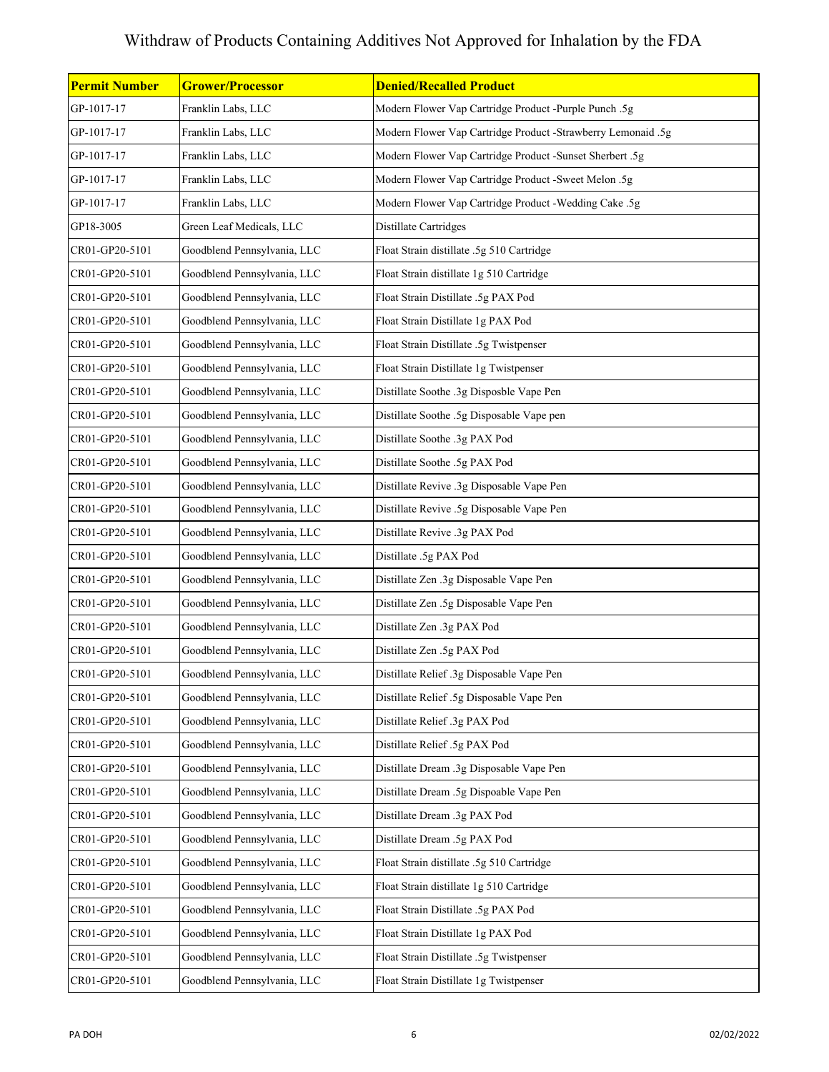| Permit Number  | <b>Grower/Processor</b>     | <b>Denied/Recalled Product</b>                               |
|----------------|-----------------------------|--------------------------------------------------------------|
| GP-1017-17     | Franklin Labs, LLC          | Modern Flower Vap Cartridge Product -Purple Punch .5g        |
| GP-1017-17     | Franklin Labs, LLC          | Modern Flower Vap Cartridge Product -Strawberry Lemonaid .5g |
| GP-1017-17     | Franklin Labs, LLC          | Modern Flower Vap Cartridge Product -Sunset Sherbert .5g     |
| GP-1017-17     | Franklin Labs, LLC          | Modern Flower Vap Cartridge Product -Sweet Melon .5g         |
| GP-1017-17     | Franklin Labs, LLC          | Modern Flower Vap Cartridge Product -Wedding Cake .5g        |
| GP18-3005      | Green Leaf Medicals, LLC    | Distillate Cartridges                                        |
| CR01-GP20-5101 | Goodblend Pennsylvania, LLC | Float Strain distillate .5g 510 Cartridge                    |
| CR01-GP20-5101 | Goodblend Pennsylvania, LLC | Float Strain distillate 1g 510 Cartridge                     |
| CR01-GP20-5101 | Goodblend Pennsylvania, LLC | Float Strain Distillate .5g PAX Pod                          |
| CR01-GP20-5101 | Goodblend Pennsylvania, LLC | Float Strain Distillate 1g PAX Pod                           |
| CR01-GP20-5101 | Goodblend Pennsylvania, LLC | Float Strain Distillate .5g Twistpenser                      |
| CR01-GP20-5101 | Goodblend Pennsylvania, LLC | Float Strain Distillate 1g Twistpenser                       |
| CR01-GP20-5101 | Goodblend Pennsylvania, LLC | Distillate Soothe .3g Disposble Vape Pen                     |
| CR01-GP20-5101 | Goodblend Pennsylvania, LLC | Distillate Soothe .5g Disposable Vape pen                    |
| CR01-GP20-5101 | Goodblend Pennsylvania, LLC | Distillate Soothe .3g PAX Pod                                |
| CR01-GP20-5101 | Goodblend Pennsylvania, LLC | Distillate Soothe .5g PAX Pod                                |
| CR01-GP20-5101 | Goodblend Pennsylvania, LLC | Distillate Revive .3g Disposable Vape Pen                    |
| CR01-GP20-5101 | Goodblend Pennsylvania, LLC | Distillate Revive .5g Disposable Vape Pen                    |
| CR01-GP20-5101 | Goodblend Pennsylvania, LLC | Distillate Revive .3g PAX Pod                                |
| CR01-GP20-5101 | Goodblend Pennsylvania, LLC | Distillate .5g PAX Pod                                       |
| CR01-GP20-5101 | Goodblend Pennsylvania, LLC | Distillate Zen .3g Disposable Vape Pen                       |
| CR01-GP20-5101 | Goodblend Pennsylvania, LLC | Distillate Zen .5g Disposable Vape Pen                       |
| CR01-GP20-5101 | Goodblend Pennsylvania, LLC | Distillate Zen .3g PAX Pod                                   |
| CR01-GP20-5101 | Goodblend Pennsylvania, LLC | Distillate Zen .5g PAX Pod                                   |
| CR01-GP20-5101 | Goodblend Pennsylvania, LLC | Distillate Relief .3g Disposable Vape Pen                    |
| CR01-GP20-5101 | Goodblend Pennsylvania, LLC | Distillate Relief .5g Disposable Vape Pen                    |
| CR01-GP20-5101 | Goodblend Pennsylvania, LLC | Distillate Relief .3g PAX Pod                                |
| CR01-GP20-5101 | Goodblend Pennsylvania, LLC | Distillate Relief .5g PAX Pod                                |
| CR01-GP20-5101 | Goodblend Pennsylvania, LLC | Distillate Dream .3g Disposable Vape Pen                     |
| CR01-GP20-5101 | Goodblend Pennsylvania, LLC | Distillate Dream .5g Dispoable Vape Pen                      |
| CR01-GP20-5101 | Goodblend Pennsylvania, LLC | Distillate Dream .3g PAX Pod                                 |
| CR01-GP20-5101 | Goodblend Pennsylvania, LLC | Distillate Dream .5g PAX Pod                                 |
| CR01-GP20-5101 | Goodblend Pennsylvania, LLC | Float Strain distillate .5g 510 Cartridge                    |
| CR01-GP20-5101 | Goodblend Pennsylvania, LLC | Float Strain distillate 1g 510 Cartridge                     |
| CR01-GP20-5101 | Goodblend Pennsylvania, LLC | Float Strain Distillate .5g PAX Pod                          |
| CR01-GP20-5101 | Goodblend Pennsylvania, LLC | Float Strain Distillate 1g PAX Pod                           |
| CR01-GP20-5101 | Goodblend Pennsylvania, LLC | Float Strain Distillate .5g Twistpenser                      |
| CR01-GP20-5101 | Goodblend Pennsylvania, LLC | Float Strain Distillate 1g Twistpenser                       |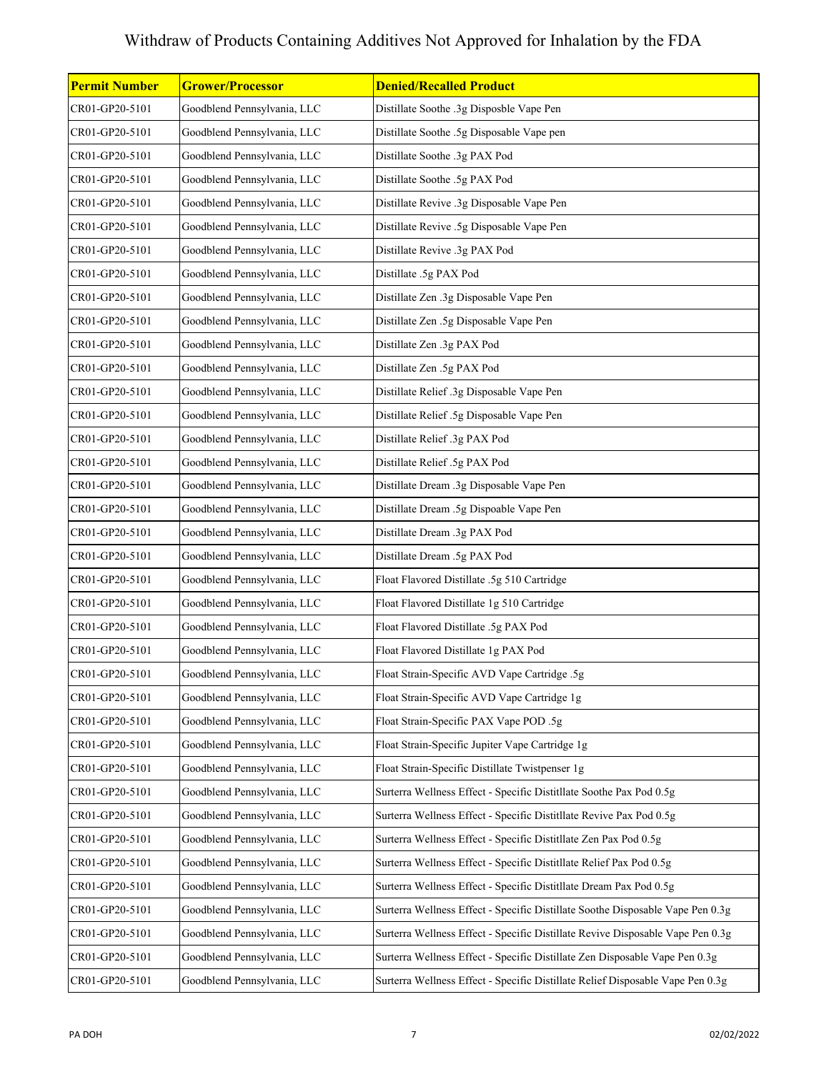| <b>Permit Number</b> | <b>Grower/Processor</b>     | <b>Denied/Recalled Product</b>                                                 |
|----------------------|-----------------------------|--------------------------------------------------------------------------------|
| CR01-GP20-5101       | Goodblend Pennsylvania, LLC | Distillate Soothe .3g Disposble Vape Pen                                       |
| CR01-GP20-5101       | Goodblend Pennsylvania, LLC | Distillate Soothe .5g Disposable Vape pen                                      |
| CR01-GP20-5101       | Goodblend Pennsylvania, LLC | Distillate Soothe .3g PAX Pod                                                  |
| CR01-GP20-5101       | Goodblend Pennsylvania, LLC | Distillate Soothe .5g PAX Pod                                                  |
| CR01-GP20-5101       | Goodblend Pennsylvania, LLC | Distillate Revive .3g Disposable Vape Pen                                      |
| CR01-GP20-5101       | Goodblend Pennsylvania, LLC | Distillate Revive .5g Disposable Vape Pen                                      |
| CR01-GP20-5101       | Goodblend Pennsylvania, LLC | Distillate Revive .3g PAX Pod                                                  |
| CR01-GP20-5101       | Goodblend Pennsylvania, LLC | Distillate .5g PAX Pod                                                         |
| CR01-GP20-5101       | Goodblend Pennsylvania, LLC | Distillate Zen .3g Disposable Vape Pen                                         |
| CR01-GP20-5101       | Goodblend Pennsylvania, LLC | Distillate Zen .5g Disposable Vape Pen                                         |
| CR01-GP20-5101       | Goodblend Pennsylvania, LLC | Distillate Zen .3g PAX Pod                                                     |
| CR01-GP20-5101       | Goodblend Pennsylvania, LLC | Distillate Zen .5g PAX Pod                                                     |
| CR01-GP20-5101       | Goodblend Pennsylvania, LLC | Distillate Relief .3g Disposable Vape Pen                                      |
| CR01-GP20-5101       | Goodblend Pennsylvania, LLC | Distillate Relief .5g Disposable Vape Pen                                      |
| CR01-GP20-5101       | Goodblend Pennsylvania, LLC | Distillate Relief .3g PAX Pod                                                  |
| CR01-GP20-5101       | Goodblend Pennsylvania, LLC | Distillate Relief .5g PAX Pod                                                  |
| CR01-GP20-5101       | Goodblend Pennsylvania, LLC | Distillate Dream .3g Disposable Vape Pen                                       |
| CR01-GP20-5101       | Goodblend Pennsylvania, LLC | Distillate Dream .5g Dispoable Vape Pen                                        |
| CR01-GP20-5101       | Goodblend Pennsylvania, LLC | Distillate Dream .3g PAX Pod                                                   |
| CR01-GP20-5101       | Goodblend Pennsylvania, LLC | Distillate Dream .5g PAX Pod                                                   |
| CR01-GP20-5101       | Goodblend Pennsylvania, LLC | Float Flavored Distillate .5g 510 Cartridge                                    |
| CR01-GP20-5101       | Goodblend Pennsylvania, LLC | Float Flavored Distillate 1g 510 Cartridge                                     |
| CR01-GP20-5101       | Goodblend Pennsylvania, LLC | Float Flavored Distillate .5g PAX Pod                                          |
| CR01-GP20-5101       | Goodblend Pennsylvania, LLC | Float Flavored Distillate 1g PAX Pod                                           |
| CR01-GP20-5101       | Goodblend Pennsylvania, LLC | Float Strain-Specific AVD Vape Cartridge .5g                                   |
| CR01-GP20-5101       | Goodblend Pennsylvania, LLC | Float Strain-Specific AVD Vape Cartridge 1g                                    |
| CR01-GP20-5101       | Goodblend Pennsylvania, LLC | Float Strain-Specific PAX Vape POD .5g                                         |
| CR01-GP20-5101       | Goodblend Pennsylvania, LLC | Float Strain-Specific Jupiter Vape Cartridge 1g                                |
| CR01-GP20-5101       | Goodblend Pennsylvania, LLC | Float Strain-Specific Distillate Twistpenser 1g                                |
| CR01-GP20-5101       | Goodblend Pennsylvania, LLC | Surterra Wellness Effect - Specific Distitllate Soothe Pax Pod 0.5g            |
| CR01-GP20-5101       | Goodblend Pennsylvania, LLC | Surterra Wellness Effect - Specific Distitllate Revive Pax Pod 0.5g            |
| CR01-GP20-5101       | Goodblend Pennsylvania, LLC | Surterra Wellness Effect - Specific Distitllate Zen Pax Pod 0.5g               |
| CR01-GP20-5101       | Goodblend Pennsylvania, LLC | Surterra Wellness Effect - Specific Distitllate Relief Pax Pod 0.5g            |
| CR01-GP20-5101       | Goodblend Pennsylvania, LLC | Surterra Wellness Effect - Specific Distitllate Dream Pax Pod 0.5g             |
| CR01-GP20-5101       | Goodblend Pennsylvania, LLC | Surterra Wellness Effect - Specific Distillate Soothe Disposable Vape Pen 0.3g |
| CR01-GP20-5101       | Goodblend Pennsylvania, LLC | Surterra Wellness Effect - Specific Distillate Revive Disposable Vape Pen 0.3g |
| CR01-GP20-5101       | Goodblend Pennsylvania, LLC | Surterra Wellness Effect - Specific Distillate Zen Disposable Vape Pen 0.3g    |
| CR01-GP20-5101       | Goodblend Pennsylvania, LLC | Surterra Wellness Effect - Specific Distillate Relief Disposable Vape Pen 0.3g |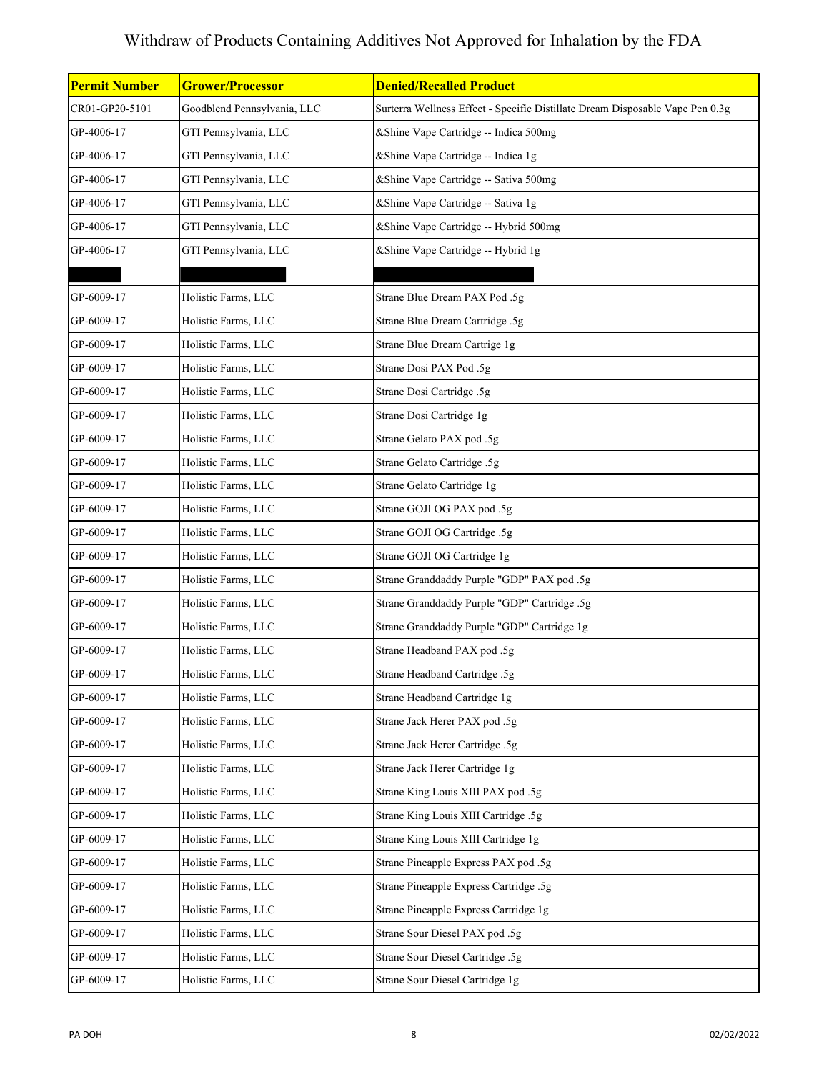| <b>Permit Number</b> | <b>Grower/Processor</b>     | <b>Denied/Recalled Product</b>                                                |
|----------------------|-----------------------------|-------------------------------------------------------------------------------|
| CR01-GP20-5101       | Goodblend Pennsylvania, LLC | Surterra Wellness Effect - Specific Distillate Dream Disposable Vape Pen 0.3g |
| GP-4006-17           | GTI Pennsylvania, LLC       | &Shine Vape Cartridge -- Indica 500mg                                         |
| GP-4006-17           | GTI Pennsylvania, LLC       | &Shine Vape Cartridge -- Indica 1g                                            |
| GP-4006-17           | GTI Pennsylvania, LLC       | &Shine Vape Cartridge -- Sativa 500mg                                         |
| GP-4006-17           | GTI Pennsylvania, LLC       | &Shine Vape Cartridge -- Sativa 1g                                            |
| GP-4006-17           | GTI Pennsylvania, LLC       | &Shine Vape Cartridge -- Hybrid 500mg                                         |
| GP-4006-17           | GTI Pennsylvania, LLC       | & Shine Vape Cartridge -- Hybrid 1g                                           |
|                      |                             |                                                                               |
| GP-6009-17           | Holistic Farms, LLC         | Strane Blue Dream PAX Pod .5g                                                 |
| GP-6009-17           | Holistic Farms, LLC         | Strane Blue Dream Cartridge .5g                                               |
| GP-6009-17           | Holistic Farms, LLC         | Strane Blue Dream Cartrige 1g                                                 |
| GP-6009-17           | Holistic Farms, LLC         | Strane Dosi PAX Pod .5g                                                       |
| GP-6009-17           | Holistic Farms, LLC         | Strane Dosi Cartridge .5g                                                     |
| GP-6009-17           | Holistic Farms, LLC         | Strane Dosi Cartridge 1g                                                      |
| GP-6009-17           | Holistic Farms, LLC         | Strane Gelato PAX pod .5g                                                     |
| GP-6009-17           | Holistic Farms, LLC         | Strane Gelato Cartridge .5g                                                   |
| GP-6009-17           | Holistic Farms, LLC         | Strane Gelato Cartridge 1g                                                    |
| GP-6009-17           | Holistic Farms, LLC         | Strane GOJI OG PAX pod .5g                                                    |
| GP-6009-17           | Holistic Farms, LLC         | Strane GOJI OG Cartridge .5g                                                  |
| GP-6009-17           | Holistic Farms, LLC         | Strane GOJI OG Cartridge 1g                                                   |
| GP-6009-17           | Holistic Farms, LLC         | Strane Granddaddy Purple "GDP" PAX pod .5g                                    |
| GP-6009-17           | Holistic Farms, LLC         | Strane Granddaddy Purple "GDP" Cartridge .5g                                  |
| GP-6009-17           | Holistic Farms, LLC         | Strane Granddaddy Purple "GDP" Cartridge 1g                                   |
| GP-6009-17           | Holistic Farms, LLC         | Strane Headband PAX pod .5g                                                   |
| GP-6009-17           | Holistic Farms, LLC         | Strane Headband Cartridge .5g                                                 |
| GP-6009-17           | Holistic Farms, LLC         | Strane Headband Cartridge 1g                                                  |
| GP-6009-17           | Holistic Farms, LLC         | Strane Jack Herer PAX pod .5g                                                 |
| GP-6009-17           | Holistic Farms, LLC         | Strane Jack Herer Cartridge .5g                                               |
| GP-6009-17           | Holistic Farms, LLC         | Strane Jack Herer Cartridge 1g                                                |
| GP-6009-17           | Holistic Farms, LLC         | Strane King Louis XIII PAX pod .5g                                            |
| GP-6009-17           | Holistic Farms, LLC         | Strane King Louis XIII Cartridge .5g                                          |
| GP-6009-17           | Holistic Farms, LLC         | Strane King Louis XIII Cartridge 1g                                           |
| GP-6009-17           | Holistic Farms, LLC         | Strane Pineapple Express PAX pod .5g                                          |
| GP-6009-17           | Holistic Farms, LLC         | Strane Pineapple Express Cartridge .5g                                        |
| GP-6009-17           | Holistic Farms, LLC         | Strane Pineapple Express Cartridge 1g                                         |
| GP-6009-17           | Holistic Farms, LLC         | Strane Sour Diesel PAX pod .5g                                                |
| GP-6009-17           | Holistic Farms, LLC         | Strane Sour Diesel Cartridge .5g                                              |
| GP-6009-17           | Holistic Farms, LLC         | Strane Sour Diesel Cartridge 1g                                               |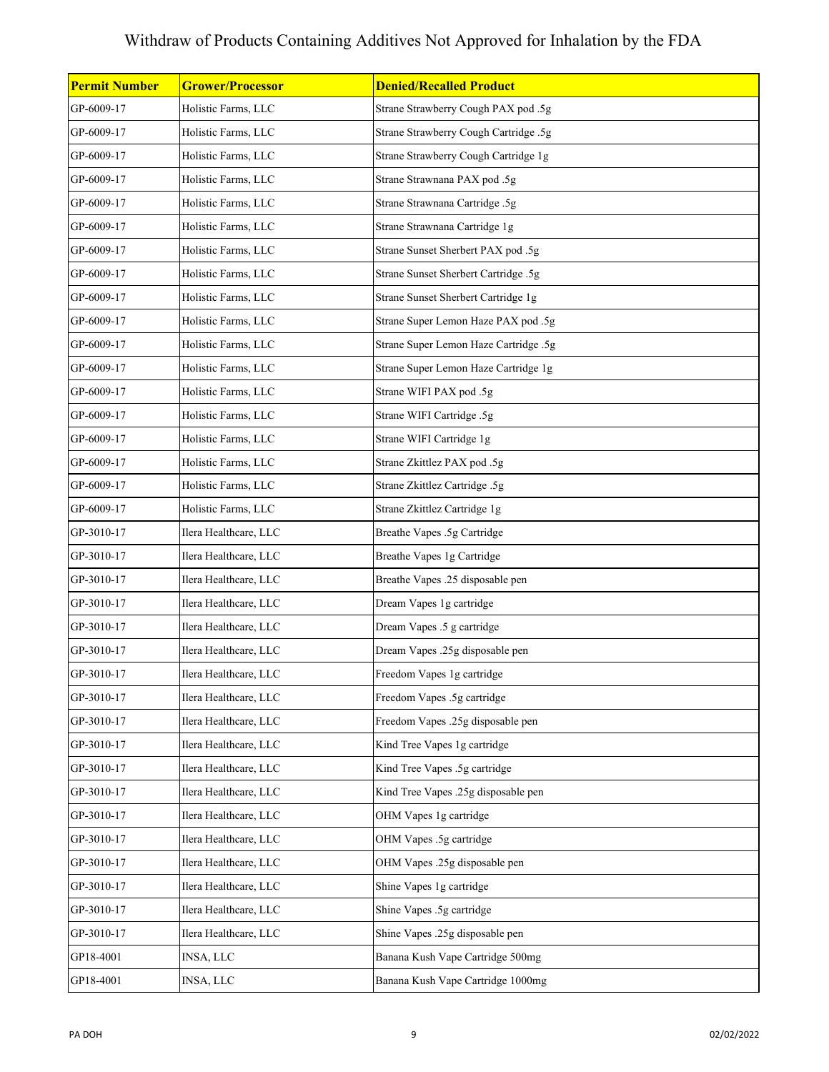| <b>Permit Number</b> | <b>Grower/Processor</b> | <b>Denied/Recalled Product</b>        |
|----------------------|-------------------------|---------------------------------------|
| GP-6009-17           | Holistic Farms, LLC     | Strane Strawberry Cough PAX pod .5g   |
| GP-6009-17           | Holistic Farms, LLC     | Strane Strawberry Cough Cartridge .5g |
| GP-6009-17           | Holistic Farms, LLC     | Strane Strawberry Cough Cartridge 1g  |
| GP-6009-17           | Holistic Farms, LLC     | Strane Strawnana PAX pod .5g          |
| GP-6009-17           | Holistic Farms, LLC     | Strane Strawnana Cartridge .5g        |
| GP-6009-17           | Holistic Farms, LLC     | Strane Strawnana Cartridge 1g         |
| GP-6009-17           | Holistic Farms, LLC     | Strane Sunset Sherbert PAX pod .5g    |
| GP-6009-17           | Holistic Farms, LLC     | Strane Sunset Sherbert Cartridge .5g  |
| GP-6009-17           | Holistic Farms, LLC     | Strane Sunset Sherbert Cartridge 1g   |
| GP-6009-17           | Holistic Farms, LLC     | Strane Super Lemon Haze PAX pod .5g   |
| GP-6009-17           | Holistic Farms, LLC     | Strane Super Lemon Haze Cartridge .5g |
| GP-6009-17           | Holistic Farms, LLC     | Strane Super Lemon Haze Cartridge 1g  |
| GP-6009-17           | Holistic Farms, LLC     | Strane WIFI PAX pod .5g               |
| GP-6009-17           | Holistic Farms, LLC     | Strane WIFI Cartridge .5g             |
| GP-6009-17           | Holistic Farms, LLC     | Strane WIFI Cartridge 1g              |
| GP-6009-17           | Holistic Farms, LLC     | Strane Zkittlez PAX pod .5g           |
| GP-6009-17           | Holistic Farms, LLC     | Strane Zkittlez Cartridge .5g         |
| GP-6009-17           | Holistic Farms, LLC     | Strane Zkittlez Cartridge 1g          |
| GP-3010-17           | Ilera Healthcare, LLC   | Breathe Vapes .5g Cartridge           |
| GP-3010-17           | Ilera Healthcare, LLC   | Breathe Vapes 1g Cartridge            |
| GP-3010-17           | Ilera Healthcare, LLC   | Breathe Vapes .25 disposable pen      |
| GP-3010-17           | Ilera Healthcare, LLC   | Dream Vapes 1g cartridge              |
| GP-3010-17           | Ilera Healthcare, LLC   | Dream Vapes .5 g cartridge            |
| GP-3010-17           | Ilera Healthcare, LLC   | Dream Vapes .25g disposable pen       |
| GP-3010-17           | Ilera Healthcare, LLC   | Freedom Vapes 1g cartridge            |
| GP-3010-17           | Ilera Healthcare, LLC   | Freedom Vapes .5g cartridge           |
| GP-3010-17           | Ilera Healthcare, LLC   | Freedom Vapes .25g disposable pen     |
| GP-3010-17           | Ilera Healthcare, LLC   | Kind Tree Vapes 1g cartridge          |
| GP-3010-17           | Ilera Healthcare, LLC   | Kind Tree Vapes .5g cartridge         |
| GP-3010-17           | Ilera Healthcare, LLC   | Kind Tree Vapes .25g disposable pen   |
| GP-3010-17           | Ilera Healthcare, LLC   | OHM Vapes 1g cartridge                |
| GP-3010-17           | Ilera Healthcare, LLC   | OHM Vapes .5g cartridge               |
| GP-3010-17           | Ilera Healthcare, LLC   | OHM Vapes .25g disposable pen         |
| GP-3010-17           | Ilera Healthcare, LLC   | Shine Vapes 1g cartridge              |
| GP-3010-17           | Ilera Healthcare, LLC   | Shine Vapes .5g cartridge             |
| GP-3010-17           | Ilera Healthcare, LLC   | Shine Vapes .25g disposable pen       |
| GP18-4001            | <b>INSA, LLC</b>        | Banana Kush Vape Cartridge 500mg      |
| GP18-4001            | INSA, LLC               | Banana Kush Vape Cartridge 1000mg     |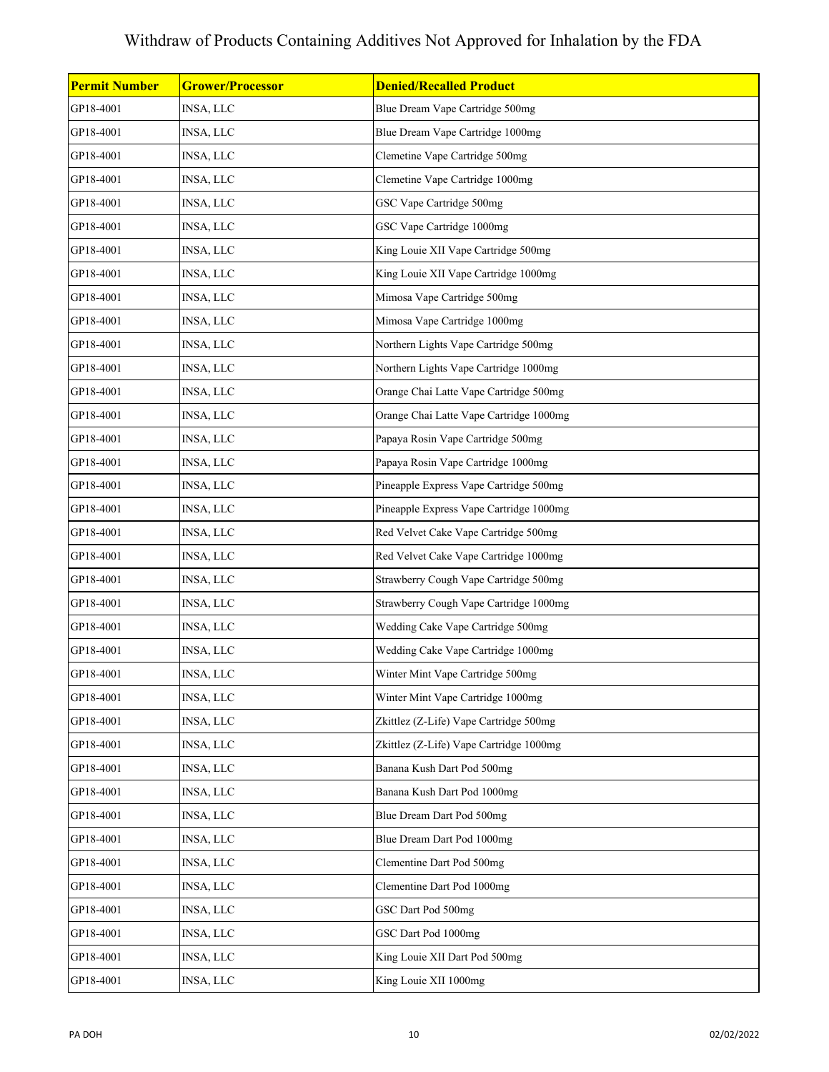| <b>Permit Number</b> | <b>Grower/Processor</b> | <b>Denied/Recalled Product</b>          |
|----------------------|-------------------------|-----------------------------------------|
| GP18-4001            | INSA, LLC               | Blue Dream Vape Cartridge 500mg         |
| GP18-4001            | INSA, LLC               | Blue Dream Vape Cartridge 1000mg        |
| GP18-4001            | INSA, LLC               | Clemetine Vape Cartridge 500mg          |
| GP18-4001            | INSA, LLC               | Clemetine Vape Cartridge 1000mg         |
| GP18-4001            | INSA, LLC               | GSC Vape Cartridge 500mg                |
| GP18-4001            | INSA, LLC               | GSC Vape Cartridge 1000mg               |
| GP18-4001            | INSA, LLC               | King Louie XII Vape Cartridge 500mg     |
| GP18-4001            | INSA, LLC               | King Louie XII Vape Cartridge 1000mg    |
| GP18-4001            | INSA, LLC               | Mimosa Vape Cartridge 500mg             |
| GP18-4001            | INSA, LLC               | Mimosa Vape Cartridge 1000mg            |
| GP18-4001            | INSA, LLC               | Northern Lights Vape Cartridge 500mg    |
| GP18-4001            | INSA, LLC               | Northern Lights Vape Cartridge 1000mg   |
| GP18-4001            | INSA, LLC               | Orange Chai Latte Vape Cartridge 500mg  |
| GP18-4001            | INSA, LLC               | Orange Chai Latte Vape Cartridge 1000mg |
| GP18-4001            | <b>INSA, LLC</b>        | Papaya Rosin Vape Cartridge 500mg       |
| GP18-4001            | INSA, LLC               | Papaya Rosin Vape Cartridge 1000mg      |
| GP18-4001            | INSA, LLC               | Pineapple Express Vape Cartridge 500mg  |
| GP18-4001            | INSA, LLC               | Pineapple Express Vape Cartridge 1000mg |
| GP18-4001            | INSA, LLC               | Red Velvet Cake Vape Cartridge 500mg    |
| GP18-4001            | INSA, LLC               | Red Velvet Cake Vape Cartridge 1000mg   |
| GP18-4001            | INSA, LLC               | Strawberry Cough Vape Cartridge 500mg   |
| GP18-4001            | INSA, LLC               | Strawberry Cough Vape Cartridge 1000mg  |
| GP18-4001            | INSA, LLC               | Wedding Cake Vape Cartridge 500mg       |
| GP18-4001            | INSA, LLC               | Wedding Cake Vape Cartridge 1000mg      |
| GP18-4001            | INSA, LLC               | Winter Mint Vape Cartridge 500mg        |
| GP18-4001            | INSA, LLC               | Winter Mint Vape Cartridge 1000mg       |
| GP18-4001            | <b>INSA, LLC</b>        | Zkittlez (Z-Life) Vape Cartridge 500mg  |
| GP18-4001            | INSA, LLC               | Zkittlez (Z-Life) Vape Cartridge 1000mg |
| GP18-4001            | INSA, LLC               | Banana Kush Dart Pod 500mg              |
| GP18-4001            | INSA, LLC               | Banana Kush Dart Pod 1000mg             |
| GP18-4001            | INSA, LLC               | Blue Dream Dart Pod 500mg               |
| GP18-4001            | INSA, LLC               | Blue Dream Dart Pod 1000mg              |
| GP18-4001            | INSA, LLC               | Clementine Dart Pod 500mg               |
| GP18-4001            | INSA, LLC               | Clementine Dart Pod 1000mg              |
| GP18-4001            | <b>INSA, LLC</b>        | GSC Dart Pod 500mg                      |
| GP18-4001            | INSA, LLC               | GSC Dart Pod 1000mg                     |
| GP18-4001            | INSA, LLC               | King Louie XII Dart Pod 500mg           |
| GP18-4001            | INSA, LLC               | King Louie XII 1000mg                   |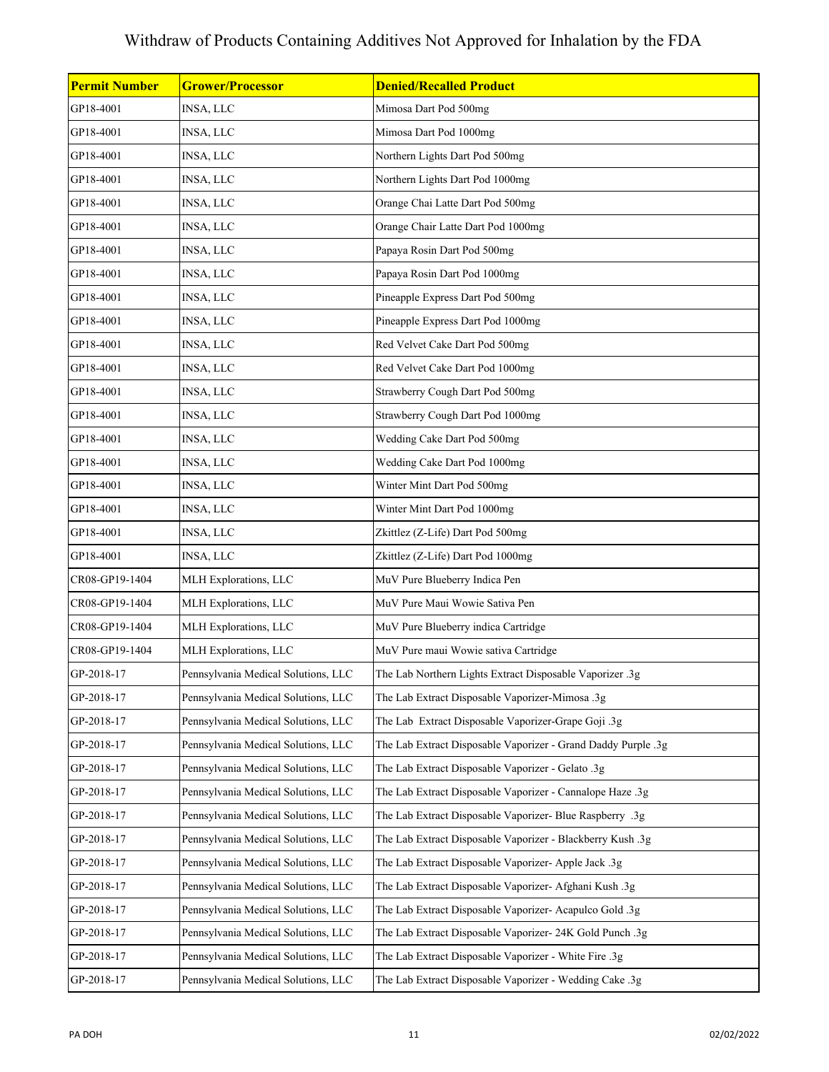| <b>Permit Number</b> | <b>Grower/Processor</b>             | <b>Denied/Recalled Product</b>                                |
|----------------------|-------------------------------------|---------------------------------------------------------------|
| GP18-4001            | <b>INSA, LLC</b>                    | Mimosa Dart Pod 500mg                                         |
| GP18-4001            | INSA, LLC                           | Mimosa Dart Pod 1000mg                                        |
| GP18-4001            | INSA, LLC                           | Northern Lights Dart Pod 500mg                                |
| GP18-4001            | INSA, LLC                           | Northern Lights Dart Pod 1000mg                               |
| GP18-4001            | INSA, LLC                           | Orange Chai Latte Dart Pod 500mg                              |
| GP18-4001            | INSA, LLC                           | Orange Chair Latte Dart Pod 1000mg                            |
| GP18-4001            | INSA, LLC                           | Papaya Rosin Dart Pod 500mg                                   |
| GP18-4001            | INSA, LLC                           | Papaya Rosin Dart Pod 1000mg                                  |
| GP18-4001            | INSA, LLC                           | Pineapple Express Dart Pod 500mg                              |
| GP18-4001            | INSA, LLC                           | Pineapple Express Dart Pod 1000mg                             |
| GP18-4001            | INSA, LLC                           | Red Velvet Cake Dart Pod 500mg                                |
| GP18-4001            | INSA, LLC                           | Red Velvet Cake Dart Pod 1000mg                               |
| GP18-4001            | INSA, LLC                           | Strawberry Cough Dart Pod 500mg                               |
| GP18-4001            | INSA, LLC                           | Strawberry Cough Dart Pod 1000mg                              |
| GP18-4001            | INSA, LLC                           | Wedding Cake Dart Pod 500mg                                   |
| GP18-4001            | INSA, LLC                           | Wedding Cake Dart Pod 1000mg                                  |
| GP18-4001            | INSA, LLC                           | Winter Mint Dart Pod 500mg                                    |
| GP18-4001            | INSA, LLC                           | Winter Mint Dart Pod 1000mg                                   |
| GP18-4001            | <b>INSA, LLC</b>                    | Zkittlez (Z-Life) Dart Pod 500mg                              |
| GP18-4001            | INSA, LLC                           | Zkittlez (Z-Life) Dart Pod 1000mg                             |
| CR08-GP19-1404       | MLH Explorations, LLC               | MuV Pure Blueberry Indica Pen                                 |
| CR08-GP19-1404       | MLH Explorations, LLC               | MuV Pure Maui Wowie Sativa Pen                                |
| CR08-GP19-1404       | MLH Explorations, LLC               | MuV Pure Blueberry indica Cartridge                           |
| CR08-GP19-1404       | MLH Explorations, LLC               | MuV Pure maui Wowie sativa Cartridge                          |
| GP-2018-17           | Pennsylvania Medical Solutions, LLC | The Lab Northern Lights Extract Disposable Vaporizer .3g      |
| GP-2018-17           | Pennsylvania Medical Solutions, LLC | The Lab Extract Disposable Vaporizer-Mimosa .3g               |
| GP-2018-17           | Pennsylvania Medical Solutions, LLC | The Lab Extract Disposable Vaporizer-Grape Goji .3g           |
| GP-2018-17           | Pennsylvania Medical Solutions, LLC | The Lab Extract Disposable Vaporizer - Grand Daddy Purple .3g |
| GP-2018-17           | Pennsylvania Medical Solutions, LLC | The Lab Extract Disposable Vaporizer - Gelato .3g             |
| GP-2018-17           | Pennsylvania Medical Solutions, LLC | The Lab Extract Disposable Vaporizer - Cannalope Haze .3g     |
| GP-2018-17           | Pennsylvania Medical Solutions, LLC | The Lab Extract Disposable Vaporizer- Blue Raspberry .3g      |
| GP-2018-17           | Pennsylvania Medical Solutions, LLC | The Lab Extract Disposable Vaporizer - Blackberry Kush .3g    |
| GP-2018-17           | Pennsylvania Medical Solutions, LLC | The Lab Extract Disposable Vaporizer- Apple Jack .3g          |
| GP-2018-17           | Pennsylvania Medical Solutions, LLC | The Lab Extract Disposable Vaporizer- Afghani Kush .3g        |
| GP-2018-17           | Pennsylvania Medical Solutions, LLC | The Lab Extract Disposable Vaporizer- Acapulco Gold .3g       |
| GP-2018-17           | Pennsylvania Medical Solutions, LLC | The Lab Extract Disposable Vaporizer- 24K Gold Punch .3g      |
| GP-2018-17           | Pennsylvania Medical Solutions, LLC | The Lab Extract Disposable Vaporizer - White Fire .3g         |
| GP-2018-17           | Pennsylvania Medical Solutions, LLC | The Lab Extract Disposable Vaporizer - Wedding Cake .3g       |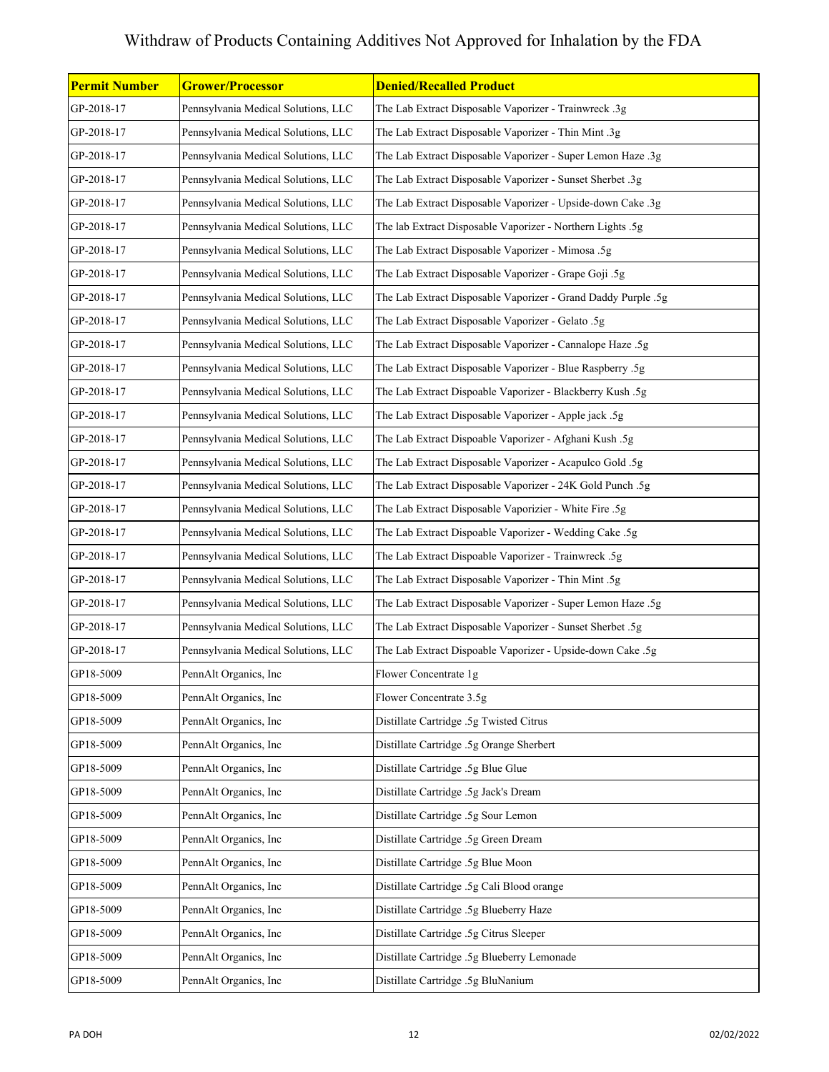| <b>Permit Number</b> | <b>Grower/Processor</b>             | <b>Denied/Recalled Product</b>                                |
|----------------------|-------------------------------------|---------------------------------------------------------------|
| GP-2018-17           | Pennsylvania Medical Solutions, LLC | The Lab Extract Disposable Vaporizer - Trainwreck .3g         |
| GP-2018-17           | Pennsylvania Medical Solutions, LLC | The Lab Extract Disposable Vaporizer - Thin Mint .3g          |
| GP-2018-17           | Pennsylvania Medical Solutions, LLC | The Lab Extract Disposable Vaporizer - Super Lemon Haze .3g   |
| GP-2018-17           | Pennsylvania Medical Solutions, LLC | The Lab Extract Disposable Vaporizer - Sunset Sherbet .3g     |
| GP-2018-17           | Pennsylvania Medical Solutions, LLC | The Lab Extract Disposable Vaporizer - Upside-down Cake .3g   |
| GP-2018-17           | Pennsylvania Medical Solutions, LLC | The lab Extract Disposable Vaporizer - Northern Lights .5g    |
| GP-2018-17           | Pennsylvania Medical Solutions, LLC | The Lab Extract Disposable Vaporizer - Mimosa .5g             |
| GP-2018-17           | Pennsylvania Medical Solutions, LLC | The Lab Extract Disposable Vaporizer - Grape Goji .5g         |
| GP-2018-17           | Pennsylvania Medical Solutions, LLC | The Lab Extract Disposable Vaporizer - Grand Daddy Purple .5g |
| GP-2018-17           | Pennsylvania Medical Solutions, LLC | The Lab Extract Disposable Vaporizer - Gelato .5g             |
| GP-2018-17           | Pennsylvania Medical Solutions, LLC | The Lab Extract Disposable Vaporizer - Cannalope Haze .5g     |
| GP-2018-17           | Pennsylvania Medical Solutions, LLC | The Lab Extract Disposable Vaporizer - Blue Raspberry .5g     |
| GP-2018-17           | Pennsylvania Medical Solutions, LLC | The Lab Extract Dispoable Vaporizer - Blackberry Kush .5g     |
| GP-2018-17           | Pennsylvania Medical Solutions, LLC | The Lab Extract Disposable Vaporizer - Apple jack .5g         |
| GP-2018-17           | Pennsylvania Medical Solutions, LLC | The Lab Extract Dispoable Vaporizer - Afghani Kush .5g        |
| GP-2018-17           | Pennsylvania Medical Solutions, LLC | The Lab Extract Disposable Vaporizer - Acapulco Gold .5g      |
| GP-2018-17           | Pennsylvania Medical Solutions, LLC | The Lab Extract Disposable Vaporizer - 24K Gold Punch .5g     |
| GP-2018-17           | Pennsylvania Medical Solutions, LLC | The Lab Extract Disposable Vaporizier - White Fire .5g        |
| GP-2018-17           | Pennsylvania Medical Solutions, LLC | The Lab Extract Dispoable Vaporizer - Wedding Cake .5g        |
| GP-2018-17           | Pennsylvania Medical Solutions, LLC | The Lab Extract Dispoable Vaporizer - Trainwreck .5g          |
| GP-2018-17           | Pennsylvania Medical Solutions, LLC | The Lab Extract Disposable Vaporizer - Thin Mint .5g          |
| GP-2018-17           | Pennsylvania Medical Solutions, LLC | The Lab Extract Disposable Vaporizer - Super Lemon Haze .5g   |
| GP-2018-17           | Pennsylvania Medical Solutions, LLC | The Lab Extract Disposable Vaporizer - Sunset Sherbet .5g     |
| GP-2018-17           | Pennsylvania Medical Solutions, LLC | The Lab Extract Dispoable Vaporizer - Upside-down Cake .5g    |
| GP18-5009            | PennAlt Organics, Inc               | Flower Concentrate 1g                                         |
| GP18-5009            | PennAlt Organics, Inc               | Flower Concentrate 3.5g                                       |
| GP18-5009            | PennAlt Organics, Inc               | Distillate Cartridge .5g Twisted Citrus                       |
| GP18-5009            | PennAlt Organics, Inc               | Distillate Cartridge .5g Orange Sherbert                      |
| GP18-5009            | PennAlt Organics, Inc               | Distillate Cartridge .5g Blue Glue                            |
| GP18-5009            | PennAlt Organics, Inc               | Distillate Cartridge .5g Jack's Dream                         |
| GP18-5009            | PennAlt Organics, Inc               | Distillate Cartridge .5g Sour Lemon                           |
| GP18-5009            | PennAlt Organics, Inc               | Distillate Cartridge .5g Green Dream                          |
| GP18-5009            | PennAlt Organics, Inc               | Distillate Cartridge .5g Blue Moon                            |
| GP18-5009            | PennAlt Organics, Inc               | Distillate Cartridge .5g Cali Blood orange                    |
| GP18-5009            | PennAlt Organics, Inc               | Distillate Cartridge .5g Blueberry Haze                       |
| GP18-5009            | PennAlt Organics, Inc               | Distillate Cartridge .5g Citrus Sleeper                       |
| GP18-5009            | PennAlt Organics, Inc               | Distillate Cartridge .5g Blueberry Lemonade                   |
| GP18-5009            | PennAlt Organics, Inc               | Distillate Cartridge .5g BluNanium                            |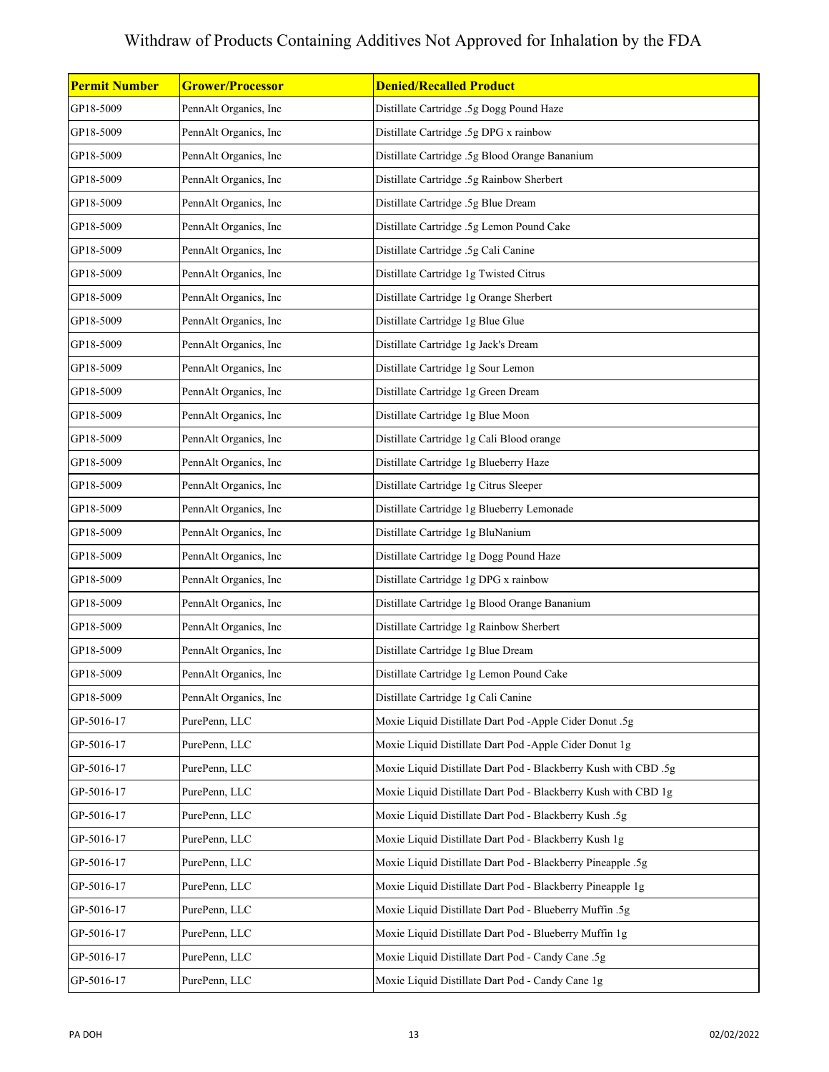| <b>Permit Number</b> | <b>Grower/Processor</b> | <b>Denied/Recalled Product</b>                                  |
|----------------------|-------------------------|-----------------------------------------------------------------|
| GP18-5009            | PennAlt Organics, Inc   | Distillate Cartridge .5g Dogg Pound Haze                        |
| GP18-5009            | PennAlt Organics, Inc   | Distillate Cartridge .5g DPG x rainbow                          |
| GP18-5009            | PennAlt Organics, Inc   | Distillate Cartridge .5g Blood Orange Bananium                  |
| GP18-5009            | PennAlt Organics, Inc   | Distillate Cartridge .5g Rainbow Sherbert                       |
| GP18-5009            | PennAlt Organics, Inc   | Distillate Cartridge .5g Blue Dream                             |
| GP18-5009            | PennAlt Organics, Inc   | Distillate Cartridge .5g Lemon Pound Cake                       |
| GP18-5009            | PennAlt Organics, Inc   | Distillate Cartridge .5g Cali Canine                            |
| GP18-5009            | PennAlt Organics, Inc   | Distillate Cartridge 1g Twisted Citrus                          |
| GP18-5009            | PennAlt Organics, Inc   | Distillate Cartridge 1g Orange Sherbert                         |
| GP18-5009            | PennAlt Organics, Inc   | Distillate Cartridge 1g Blue Glue                               |
| GP18-5009            | PennAlt Organics, Inc   | Distillate Cartridge 1g Jack's Dream                            |
| GP18-5009            | PennAlt Organics, Inc   | Distillate Cartridge 1g Sour Lemon                              |
| GP18-5009            | PennAlt Organics, Inc   | Distillate Cartridge 1g Green Dream                             |
| GP18-5009            | PennAlt Organics, Inc   | Distillate Cartridge 1g Blue Moon                               |
| GP18-5009            | PennAlt Organics, Inc   | Distillate Cartridge 1g Cali Blood orange                       |
| GP18-5009            | PennAlt Organics, Inc   | Distillate Cartridge 1g Blueberry Haze                          |
| GP18-5009            | PennAlt Organics, Inc   | Distillate Cartridge 1g Citrus Sleeper                          |
| GP18-5009            | PennAlt Organics, Inc   | Distillate Cartridge 1g Blueberry Lemonade                      |
| GP18-5009            | PennAlt Organics, Inc   | Distillate Cartridge 1g BluNanium                               |
| GP18-5009            | PennAlt Organics, Inc   | Distillate Cartridge 1g Dogg Pound Haze                         |
| GP18-5009            | PennAlt Organics, Inc   | Distillate Cartridge 1g DPG x rainbow                           |
| GP18-5009            | PennAlt Organics, Inc   | Distillate Cartridge 1g Blood Orange Bananium                   |
| GP18-5009            | PennAlt Organics, Inc   | Distillate Cartridge 1g Rainbow Sherbert                        |
| GP18-5009            | PennAlt Organics, Inc   | Distillate Cartridge 1g Blue Dream                              |
| GP18-5009            | PennAlt Organics, Inc   | Distillate Cartridge 1g Lemon Pound Cake                        |
| GP18-5009            | PennAlt Organics, Inc   | Distillate Cartridge 1g Cali Canine                             |
| GP-5016-17           | PurePenn, LLC           | Moxie Liquid Distillate Dart Pod -Apple Cider Donut .5g         |
| GP-5016-17           | PurePenn, LLC           | Moxie Liquid Distillate Dart Pod -Apple Cider Donut 1g          |
| GP-5016-17           | PurePenn, LLC           | Moxie Liquid Distillate Dart Pod - Blackberry Kush with CBD .5g |
| GP-5016-17           | PurePenn, LLC           | Moxie Liquid Distillate Dart Pod - Blackberry Kush with CBD 1g  |
| GP-5016-17           | PurePenn, LLC           | Moxie Liquid Distillate Dart Pod - Blackberry Kush .5g          |
| GP-5016-17           | PurePenn, LLC           | Moxie Liquid Distillate Dart Pod - Blackberry Kush 1g           |
| GP-5016-17           | PurePenn, LLC           | Moxie Liquid Distillate Dart Pod - Blackberry Pineapple .5g     |
| GP-5016-17           | PurePenn, LLC           | Moxie Liquid Distillate Dart Pod - Blackberry Pineapple 1g      |
| GP-5016-17           | PurePenn, LLC           | Moxie Liquid Distillate Dart Pod - Blueberry Muffin .5g         |
| GP-5016-17           | PurePenn, LLC           | Moxie Liquid Distillate Dart Pod - Blueberry Muffin 1g          |
| GP-5016-17           | PurePenn, LLC           | Moxie Liquid Distillate Dart Pod - Candy Cane .5g               |
| GP-5016-17           | PurePenn, LLC           | Moxie Liquid Distillate Dart Pod - Candy Cane 1g                |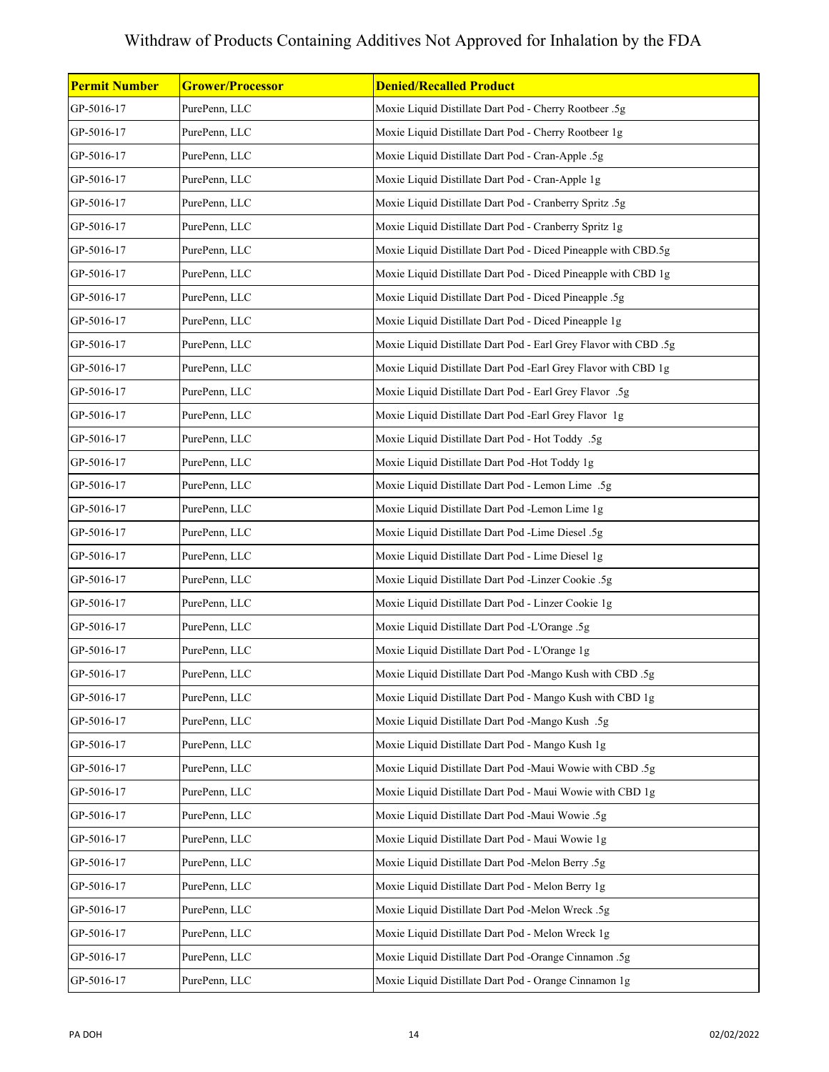| <b>Permit Number</b> | <b>Grower/Processor</b> | <b>Denied/Recalled Product</b>                                   |
|----------------------|-------------------------|------------------------------------------------------------------|
| GP-5016-17           | PurePenn, LLC           | Moxie Liquid Distillate Dart Pod - Cherry Rootbeer .5g           |
| GP-5016-17           | PurePenn, LLC           | Moxie Liquid Distillate Dart Pod - Cherry Rootbeer 1g            |
| GP-5016-17           | PurePenn, LLC           | Moxie Liquid Distillate Dart Pod - Cran-Apple .5g                |
| GP-5016-17           | PurePenn, LLC           | Moxie Liquid Distillate Dart Pod - Cran-Apple 1g                 |
| GP-5016-17           | PurePenn, LLC           | Moxie Liquid Distillate Dart Pod - Cranberry Spritz .5g          |
| GP-5016-17           | PurePenn, LLC           | Moxie Liquid Distillate Dart Pod - Cranberry Spritz 1g           |
| GP-5016-17           | PurePenn, LLC           | Moxie Liquid Distillate Dart Pod - Diced Pineapple with CBD.5g   |
| GP-5016-17           | PurePenn, LLC           | Moxie Liquid Distillate Dart Pod - Diced Pineapple with CBD 1g   |
| GP-5016-17           | PurePenn, LLC           | Moxie Liquid Distillate Dart Pod - Diced Pineapple .5g           |
| GP-5016-17           | PurePenn, LLC           | Moxie Liquid Distillate Dart Pod - Diced Pineapple 1g            |
| GP-5016-17           | PurePenn, LLC           | Moxie Liquid Distillate Dart Pod - Earl Grey Flavor with CBD .5g |
| GP-5016-17           | PurePenn, LLC           | Moxie Liquid Distillate Dart Pod -Earl Grey Flavor with CBD 1g   |
| GP-5016-17           | PurePenn, LLC           | Moxie Liquid Distillate Dart Pod - Earl Grey Flavor .5g          |
| GP-5016-17           | PurePenn, LLC           | Moxie Liquid Distillate Dart Pod -Earl Grey Flavor 1g            |
| GP-5016-17           | PurePenn, LLC           | Moxie Liquid Distillate Dart Pod - Hot Toddy .5g                 |
| GP-5016-17           | PurePenn, LLC           | Moxie Liquid Distillate Dart Pod -Hot Toddy 1g                   |
| GP-5016-17           | PurePenn, LLC           | Moxie Liquid Distillate Dart Pod - Lemon Lime .5g                |
| GP-5016-17           | PurePenn, LLC           | Moxie Liquid Distillate Dart Pod -Lemon Lime 1g                  |
| GP-5016-17           | PurePenn, LLC           | Moxie Liquid Distillate Dart Pod -Lime Diesel .5g                |
| GP-5016-17           | PurePenn, LLC           | Moxie Liquid Distillate Dart Pod - Lime Diesel 1g                |
| GP-5016-17           | PurePenn, LLC           | Moxie Liquid Distillate Dart Pod -Linzer Cookie .5g              |
| GP-5016-17           | PurePenn, LLC           | Moxie Liquid Distillate Dart Pod - Linzer Cookie 1g              |
| GP-5016-17           | PurePenn, LLC           | Moxie Liquid Distillate Dart Pod -L'Orange .5g                   |
| GP-5016-17           | PurePenn, LLC           | Moxie Liquid Distillate Dart Pod - L'Orange 1g                   |
| GP-5016-17           | PurePenn, LLC           | Moxie Liquid Distillate Dart Pod -Mango Kush with CBD .5g        |
| GP-5016-17           | PurePenn, LLC           | Moxie Liquid Distillate Dart Pod - Mango Kush with CBD 1g        |
| GP-5016-17           | PurePenn, LLC           | Moxie Liquid Distillate Dart Pod -Mango Kush .5g                 |
| GP-5016-17           | PurePenn, LLC           | Moxie Liquid Distillate Dart Pod - Mango Kush 1g                 |
| GP-5016-17           | PurePenn, LLC           | Moxie Liquid Distillate Dart Pod -Maui Wowie with CBD .5g        |
| GP-5016-17           | PurePenn, LLC           | Moxie Liquid Distillate Dart Pod - Maui Wowie with CBD 1g        |
| GP-5016-17           | PurePenn, LLC           | Moxie Liquid Distillate Dart Pod -Maui Wowie .5g                 |
| GP-5016-17           | PurePenn, LLC           | Moxie Liquid Distillate Dart Pod - Maui Wowie 1g                 |
| GP-5016-17           | PurePenn, LLC           | Moxie Liquid Distillate Dart Pod -Melon Berry .5g                |
| GP-5016-17           | PurePenn, LLC           | Moxie Liquid Distillate Dart Pod - Melon Berry 1g                |
| GP-5016-17           | PurePenn, LLC           | Moxie Liquid Distillate Dart Pod -Melon Wreck .5g                |
| GP-5016-17           | PurePenn, LLC           | Moxie Liquid Distillate Dart Pod - Melon Wreck 1g                |
| GP-5016-17           | PurePenn, LLC           | Moxie Liquid Distillate Dart Pod -Orange Cinnamon .5g            |
| GP-5016-17           | PurePenn, LLC           | Moxie Liquid Distillate Dart Pod - Orange Cinnamon 1g            |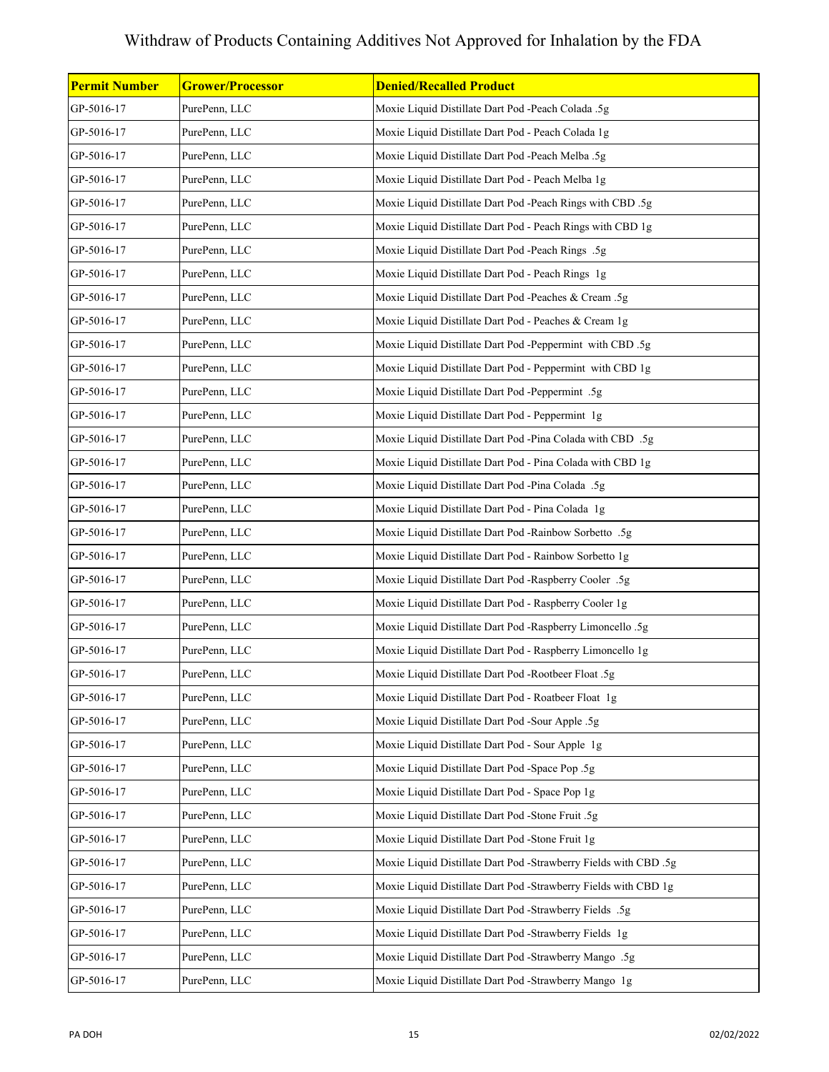| Permit Number | <b>Grower/Processor</b> | <b>Denied/Recalled Product</b>                                   |
|---------------|-------------------------|------------------------------------------------------------------|
| GP-5016-17    | PurePenn, LLC           | Moxie Liquid Distillate Dart Pod -Peach Colada .5g               |
| GP-5016-17    | PurePenn, LLC           | Moxie Liquid Distillate Dart Pod - Peach Colada 1g               |
| GP-5016-17    | PurePenn, LLC           | Moxie Liquid Distillate Dart Pod -Peach Melba .5g                |
| GP-5016-17    | PurePenn, LLC           | Moxie Liquid Distillate Dart Pod - Peach Melba 1g                |
| GP-5016-17    | PurePenn, LLC           | Moxie Liquid Distillate Dart Pod -Peach Rings with CBD .5g       |
| GP-5016-17    | PurePenn, LLC           | Moxie Liquid Distillate Dart Pod - Peach Rings with CBD 1g       |
| GP-5016-17    | PurePenn, LLC           | Moxie Liquid Distillate Dart Pod -Peach Rings .5g                |
| GP-5016-17    | PurePenn, LLC           | Moxie Liquid Distillate Dart Pod - Peach Rings 1g                |
| GP-5016-17    | PurePenn, LLC           | Moxie Liquid Distillate Dart Pod -Peaches & Cream .5g            |
| GP-5016-17    | PurePenn, LLC           | Moxie Liquid Distillate Dart Pod - Peaches & Cream 1g            |
| GP-5016-17    | PurePenn, LLC           | Moxie Liquid Distillate Dart Pod -Peppermint with CBD .5g        |
| GP-5016-17    | PurePenn, LLC           | Moxie Liquid Distillate Dart Pod - Peppermint with CBD 1g        |
| GP-5016-17    | PurePenn, LLC           | Moxie Liquid Distillate Dart Pod -Peppermint .5g                 |
| GP-5016-17    | PurePenn, LLC           | Moxie Liquid Distillate Dart Pod - Peppermint 1g                 |
| GP-5016-17    | PurePenn, LLC           | Moxie Liquid Distillate Dart Pod -Pina Colada with CBD .5g       |
| GP-5016-17    | PurePenn, LLC           | Moxie Liquid Distillate Dart Pod - Pina Colada with CBD 1g       |
| GP-5016-17    | PurePenn, LLC           | Moxie Liquid Distillate Dart Pod -Pina Colada .5g                |
| GP-5016-17    | PurePenn, LLC           | Moxie Liquid Distillate Dart Pod - Pina Colada 1g                |
| GP-5016-17    | PurePenn, LLC           | Moxie Liquid Distillate Dart Pod -Rainbow Sorbetto .5g           |
| GP-5016-17    | PurePenn, LLC           | Moxie Liquid Distillate Dart Pod - Rainbow Sorbetto 1g           |
| GP-5016-17    | PurePenn, LLC           | Moxie Liquid Distillate Dart Pod -Raspberry Cooler .5g           |
| GP-5016-17    | PurePenn, LLC           | Moxie Liquid Distillate Dart Pod - Raspberry Cooler 1g           |
| GP-5016-17    | PurePenn, LLC           | Moxie Liquid Distillate Dart Pod -Raspberry Limoncello .5g       |
| GP-5016-17    | PurePenn, LLC           | Moxie Liquid Distillate Dart Pod - Raspberry Limoncello 1g       |
| GP-5016-17    | PurePenn, LLC           | Moxie Liquid Distillate Dart Pod -Rootbeer Float .5g             |
| GP-5016-17    | PurePenn, LLC           | Moxie Liquid Distillate Dart Pod - Roatbeer Float 1g             |
| GP-5016-17    | PurePenn, LLC           | Moxie Liquid Distillate Dart Pod -Sour Apple .5g                 |
| GP-5016-17    | PurePenn, LLC           | Moxie Liquid Distillate Dart Pod - Sour Apple 1g                 |
| GP-5016-17    | PurePenn, LLC           | Moxie Liquid Distillate Dart Pod -Space Pop .5g                  |
| GP-5016-17    | PurePenn, LLC           | Moxie Liquid Distillate Dart Pod - Space Pop 1g                  |
| GP-5016-17    | PurePenn, LLC           | Moxie Liquid Distillate Dart Pod -Stone Fruit .5g                |
| GP-5016-17    | PurePenn, LLC           | Moxie Liquid Distillate Dart Pod -Stone Fruit 1g                 |
| GP-5016-17    | PurePenn, LLC           | Moxie Liquid Distillate Dart Pod -Strawberry Fields with CBD .5g |
| GP-5016-17    | PurePenn, LLC           | Moxie Liquid Distillate Dart Pod -Strawberry Fields with CBD 1g  |
| GP-5016-17    | PurePenn, LLC           | Moxie Liquid Distillate Dart Pod -Strawberry Fields .5g          |
| GP-5016-17    | PurePenn, LLC           | Moxie Liquid Distillate Dart Pod -Strawberry Fields 1g           |
| GP-5016-17    | PurePenn, LLC           | Moxie Liquid Distillate Dart Pod -Strawberry Mango .5g           |
| GP-5016-17    | PurePenn, LLC           | Moxie Liquid Distillate Dart Pod -Strawberry Mango 1g            |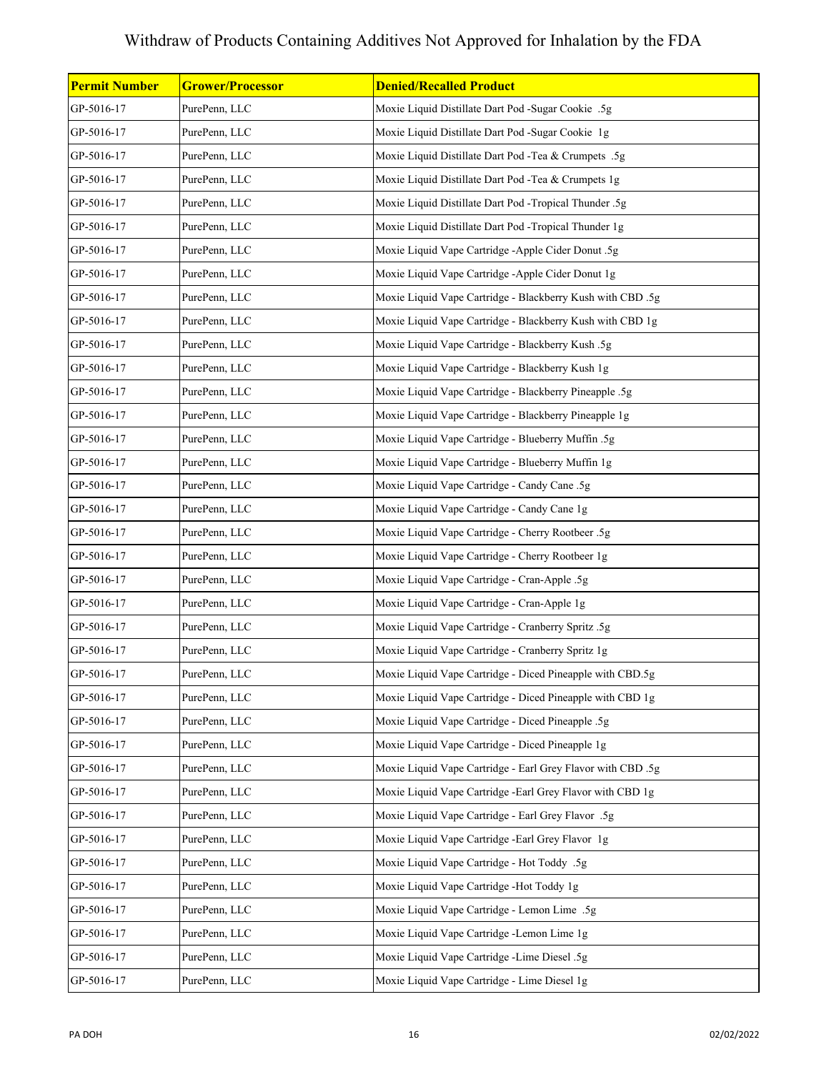| <b>Permit Number</b> | <b>Grower/Processor</b> | <b>Denied/Recalled Product</b>                              |
|----------------------|-------------------------|-------------------------------------------------------------|
| GP-5016-17           | PurePenn, LLC           | Moxie Liquid Distillate Dart Pod -Sugar Cookie .5g          |
| GP-5016-17           | PurePenn, LLC           | Moxie Liquid Distillate Dart Pod -Sugar Cookie 1g           |
| GP-5016-17           | PurePenn, LLC           | Moxie Liquid Distillate Dart Pod -Tea & Crumpets .5g        |
| GP-5016-17           | PurePenn, LLC           | Moxie Liquid Distillate Dart Pod -Tea & Crumpets 1g         |
| GP-5016-17           | PurePenn, LLC           | Moxie Liquid Distillate Dart Pod -Tropical Thunder .5g      |
| GP-5016-17           | PurePenn, LLC           | Moxie Liquid Distillate Dart Pod -Tropical Thunder 1g       |
| GP-5016-17           | PurePenn, LLC           | Moxie Liquid Vape Cartridge -Apple Cider Donut .5g          |
| GP-5016-17           | PurePenn, LLC           | Moxie Liquid Vape Cartridge -Apple Cider Donut 1g           |
| GP-5016-17           | PurePenn, LLC           | Moxie Liquid Vape Cartridge - Blackberry Kush with CBD .5g  |
| GP-5016-17           | PurePenn, LLC           | Moxie Liquid Vape Cartridge - Blackberry Kush with CBD 1g   |
| GP-5016-17           | PurePenn, LLC           | Moxie Liquid Vape Cartridge - Blackberry Kush .5g           |
| GP-5016-17           | PurePenn, LLC           | Moxie Liquid Vape Cartridge - Blackberry Kush 1g            |
| GP-5016-17           | PurePenn, LLC           | Moxie Liquid Vape Cartridge - Blackberry Pineapple .5g      |
| GP-5016-17           | PurePenn, LLC           | Moxie Liquid Vape Cartridge - Blackberry Pineapple 1g       |
| GP-5016-17           | PurePenn, LLC           | Moxie Liquid Vape Cartridge - Blueberry Muffin .5g          |
| GP-5016-17           | PurePenn, LLC           | Moxie Liquid Vape Cartridge - Blueberry Muffin 1g           |
| GP-5016-17           | PurePenn, LLC           | Moxie Liquid Vape Cartridge - Candy Cane .5g                |
| GP-5016-17           | PurePenn, LLC           | Moxie Liquid Vape Cartridge - Candy Cane 1g                 |
| GP-5016-17           | PurePenn, LLC           | Moxie Liquid Vape Cartridge - Cherry Rootbeer .5g           |
| GP-5016-17           | PurePenn, LLC           | Moxie Liquid Vape Cartridge - Cherry Rootbeer 1g            |
| GP-5016-17           | PurePenn, LLC           | Moxie Liquid Vape Cartridge - Cran-Apple .5g                |
| GP-5016-17           | PurePenn, LLC           | Moxie Liquid Vape Cartridge - Cran-Apple 1g                 |
| GP-5016-17           | PurePenn, LLC           | Moxie Liquid Vape Cartridge - Cranberry Spritz .5g          |
| GP-5016-17           | PurePenn, LLC           | Moxie Liquid Vape Cartridge - Cranberry Spritz 1g           |
| GP-5016-17           | PurePenn, LLC           | Moxie Liquid Vape Cartridge - Diced Pineapple with CBD.5g   |
| GP-5016-17           | PurePenn, LLC           | Moxie Liquid Vape Cartridge - Diced Pineapple with CBD 1g   |
| GP-5016-17           | PurePenn, LLC           | Moxie Liquid Vape Cartridge - Diced Pineapple .5g           |
| GP-5016-17           | PurePenn, LLC           | Moxie Liquid Vape Cartridge - Diced Pineapple 1g            |
| GP-5016-17           | PurePenn, LLC           | Moxie Liquid Vape Cartridge - Earl Grey Flavor with CBD .5g |
| GP-5016-17           | PurePenn, LLC           | Moxie Liquid Vape Cartridge - Earl Grey Flavor with CBD 1g  |
| GP-5016-17           | PurePenn, LLC           | Moxie Liquid Vape Cartridge - Earl Grey Flavor .5g          |
| GP-5016-17           | PurePenn, LLC           | Moxie Liquid Vape Cartridge -Earl Grey Flavor 1g            |
| GP-5016-17           | PurePenn, LLC           | Moxie Liquid Vape Cartridge - Hot Toddy .5g                 |
| GP-5016-17           | PurePenn, LLC           | Moxie Liquid Vape Cartridge -Hot Toddy 1g                   |
| GP-5016-17           | PurePenn, LLC           | Moxie Liquid Vape Cartridge - Lemon Lime .5g                |
| GP-5016-17           | PurePenn, LLC           | Moxie Liquid Vape Cartridge -Lemon Lime 1g                  |
| GP-5016-17           | PurePenn, LLC           | Moxie Liquid Vape Cartridge -Lime Diesel .5g                |
| GP-5016-17           | PurePenn, LLC           | Moxie Liquid Vape Cartridge - Lime Diesel 1g                |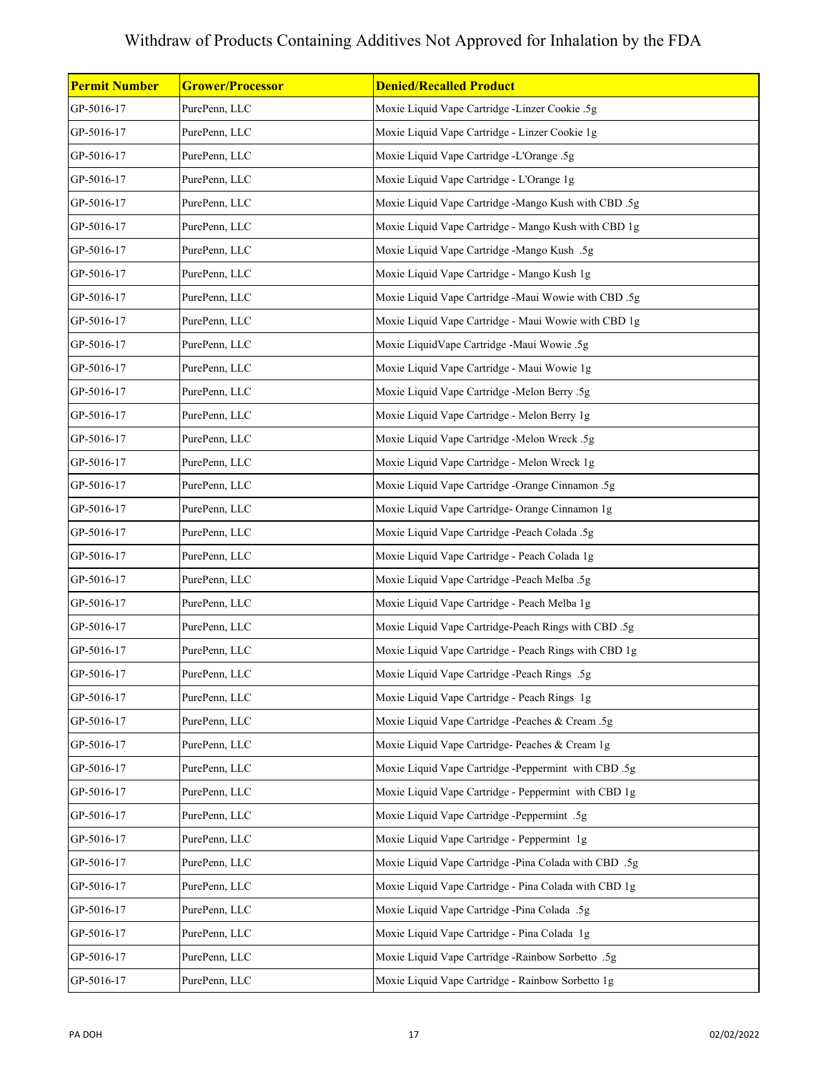| <b>Permit Number</b> | <b>Grower/Processor</b> | <b>Denied/Recalled Product</b>                        |
|----------------------|-------------------------|-------------------------------------------------------|
| GP-5016-17           | PurePenn, LLC           | Moxie Liquid Vape Cartridge -Linzer Cookie .5g        |
| GP-5016-17           | PurePenn, LLC           | Moxie Liquid Vape Cartridge - Linzer Cookie 1g        |
| GP-5016-17           | PurePenn, LLC           | Moxie Liquid Vape Cartridge -L'Orange .5g             |
| GP-5016-17           | PurePenn, LLC           | Moxie Liquid Vape Cartridge - L'Orange 1g             |
| GP-5016-17           | PurePenn, LLC           | Moxie Liquid Vape Cartridge -Mango Kush with CBD .5g  |
| GP-5016-17           | PurePenn, LLC           | Moxie Liquid Vape Cartridge - Mango Kush with CBD 1g  |
| GP-5016-17           | PurePenn, LLC           | Moxie Liquid Vape Cartridge -Mango Kush .5g           |
| GP-5016-17           | PurePenn, LLC           | Moxie Liquid Vape Cartridge - Mango Kush 1g           |
| GP-5016-17           | PurePenn, LLC           | Moxie Liquid Vape Cartridge -Maui Wowie with CBD .5g  |
| GP-5016-17           | PurePenn, LLC           | Moxie Liquid Vape Cartridge - Maui Wowie with CBD 1g  |
| GP-5016-17           | PurePenn, LLC           | Moxie LiquidVape Cartridge -Maui Wowie .5g            |
| GP-5016-17           | PurePenn, LLC           | Moxie Liquid Vape Cartridge - Maui Wowie 1g           |
| GP-5016-17           | PurePenn, LLC           | Moxie Liquid Vape Cartridge -Melon Berry .5g          |
| GP-5016-17           | PurePenn, LLC           | Moxie Liquid Vape Cartridge - Melon Berry 1g          |
| GP-5016-17           | PurePenn, LLC           | Moxie Liquid Vape Cartridge -Melon Wreck .5g          |
| GP-5016-17           | PurePenn, LLC           | Moxie Liquid Vape Cartridge - Melon Wreck 1g          |
| GP-5016-17           | PurePenn, LLC           | Moxie Liquid Vape Cartridge -Orange Cinnamon .5g      |
| GP-5016-17           | PurePenn, LLC           | Moxie Liquid Vape Cartridge- Orange Cinnamon 1g       |
| GP-5016-17           | PurePenn, LLC           | Moxie Liquid Vape Cartridge -Peach Colada .5g         |
| GP-5016-17           | PurePenn, LLC           | Moxie Liquid Vape Cartridge - Peach Colada 1g         |
| GP-5016-17           | PurePenn, LLC           | Moxie Liquid Vape Cartridge -Peach Melba .5g          |
| GP-5016-17           | PurePenn, LLC           | Moxie Liquid Vape Cartridge - Peach Melba 1g          |
| GP-5016-17           | PurePenn, LLC           | Moxie Liquid Vape Cartridge-Peach Rings with CBD .5g  |
| GP-5016-17           | PurePenn, LLC           | Moxie Liquid Vape Cartridge - Peach Rings with CBD 1g |
| GP-5016-17           | PurePenn, LLC           | Moxie Liquid Vape Cartridge -Peach Rings .5g          |
| GP-5016-17           | PurePenn, LLC           | Moxie Liquid Vape Cartridge - Peach Rings 1g          |
| GP-5016-17           | PurePenn, LLC           | Moxie Liquid Vape Cartridge -Peaches & Cream .5g      |
| GP-5016-17           | PurePenn, LLC           | Moxie Liquid Vape Cartridge- Peaches & Cream 1g       |
| GP-5016-17           | PurePenn, LLC           | Moxie Liquid Vape Cartridge -Peppermint with CBD .5g  |
| GP-5016-17           | PurePenn, LLC           | Moxie Liquid Vape Cartridge - Peppermint with CBD 1g  |
| GP-5016-17           | PurePenn, LLC           | Moxie Liquid Vape Cartridge -Peppermint .5g           |
| GP-5016-17           | PurePenn, LLC           | Moxie Liquid Vape Cartridge - Peppermint 1g           |
| GP-5016-17           | PurePenn, LLC           | Moxie Liquid Vape Cartridge -Pina Colada with CBD .5g |
| GP-5016-17           | PurePenn, LLC           | Moxie Liquid Vape Cartridge - Pina Colada with CBD 1g |
| GP-5016-17           | PurePenn, LLC           | Moxie Liquid Vape Cartridge -Pina Colada .5g          |
| GP-5016-17           | PurePenn, LLC           | Moxie Liquid Vape Cartridge - Pina Colada 1g          |
| GP-5016-17           | PurePenn, LLC           | Moxie Liquid Vape Cartridge -Rainbow Sorbetto .5g     |
| GP-5016-17           | PurePenn, LLC           | Moxie Liquid Vape Cartridge - Rainbow Sorbetto 1g     |